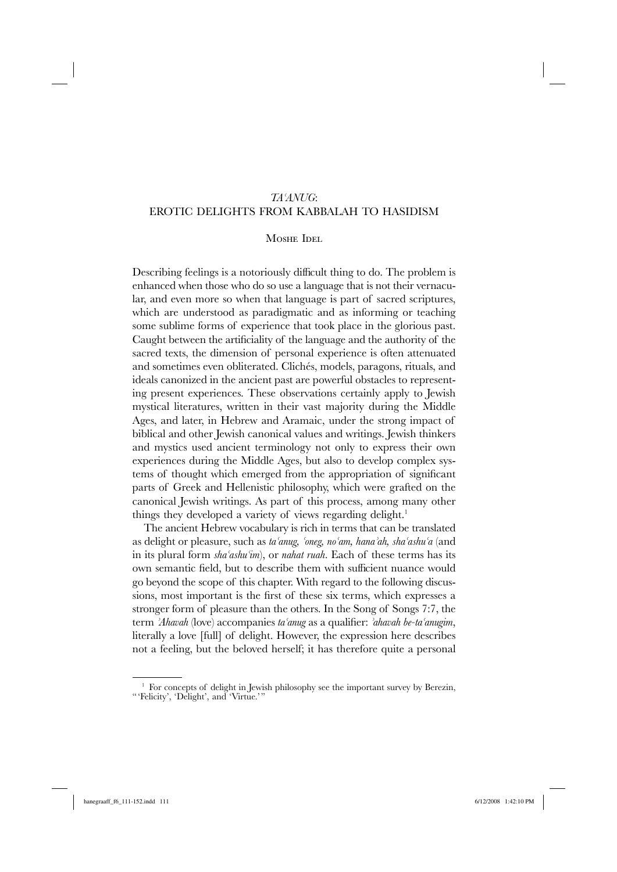# *TA{ANUG*: EROTIC DELIGHTS FROM KABBALAH TO HASIDISM

#### MOSHE IDEL

Describing feelings is a notoriously difficult thing to do. The problem is enhanced when those who do so use a language that is not their vernacular, and even more so when that language is part of sacred scriptures, which are understood as paradigmatic and as informing or teaching some sublime forms of experience that took place in the glorious past. Caught between the artificiality of the language and the authority of the sacred texts, the dimension of personal experience is often attenuated and sometimes even obliterated. Clichés, models, paragons, rituals, and ideals canonized in the ancient past are powerful obstacles to representing present experiences. These observations certainly apply to Jewish mystical literatures, written in their vast majority during the Middle Ages, and later, in Hebrew and Aramaic, under the strong impact of biblical and other Jewish canonical values and writings. Jewish thinkers and mystics used ancient terminology not only to express their own experiences during the Middle Ages, but also to develop complex systems of thought which emerged from the appropriation of significant parts of Greek and Hellenistic philosophy, which were grafted on the canonical Jewish writings. As part of this process, among many other things they developed a variety of views regarding delight.<sup>1</sup>

The ancient Hebrew vocabulary is rich in terms that can be translated as delight or pleasure, such as *ta{anug, {oneg, no{am, hanaxah, sha{ashu{a* (and in its plural form *sha{ashu{im*), or *nahat ruah*. Each of these terms has its own semantic field, but to describe them with sufficient nuance would go beyond the scope of this chapter. With regard to the following discussions, most important is the first of these six terms, which expresses a stronger form of pleasure than the others. In the Song of Songs 7:7, the term *'Ahavah* (love) accompanies *ta'anug* as a qualifier: *'ahavah be-ta'anugim*, literally a love [full] of delight. However, the expression here describes not a feeling, but the beloved herself; it has therefore quite a personal

<sup>&</sup>lt;sup>1</sup> For concepts of delight in Jewish philosophy see the important survey by Berezin, " 'Felicity', 'Delight', and 'Virtue.' "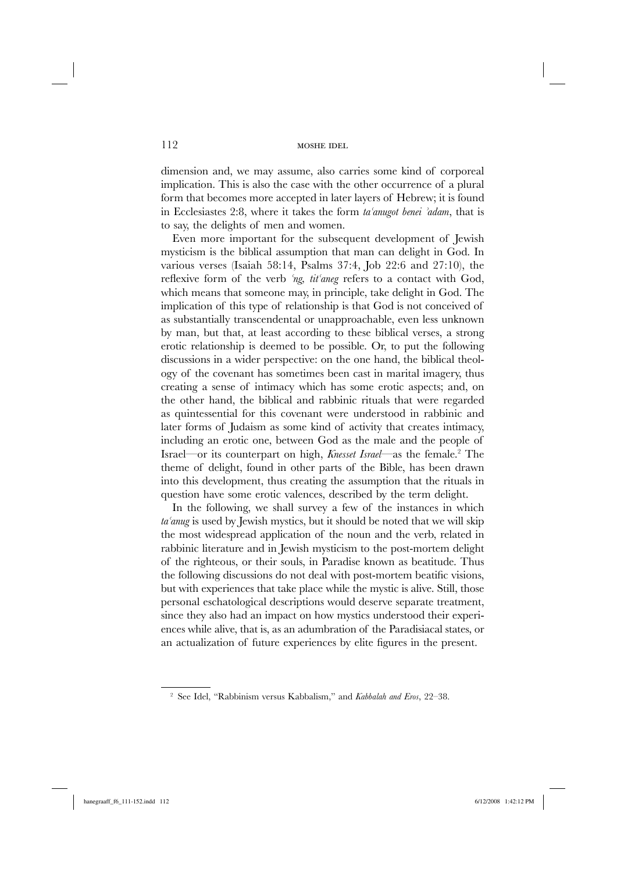dimension and, we may assume, also carries some kind of corporeal implication. This is also the case with the other occurrence of a plural form that becomes more accepted in later layers of Hebrew; it is found in Ecclesiastes 2:8, where it takes the form *ta{anugot benei xadam*, that is to say, the delights of men and women.

Even more important for the subsequent development of Jewish mysticism is the biblical assumption that man can delight in God. In various verses (Isaiah 58:14, Psalms 37:4, Job 22:6 and 27:10), the reflexive form of the verb *'ng, tit'aneg* refers to a contact with God, which means that someone may, in principle, take delight in God. The implication of this type of relationship is that God is not conceived of as substantially transcendental or unapproachable, even less unknown by man, but that, at least according to these biblical verses, a strong erotic relationship is deemed to be possible. Or, to put the following discussions in a wider perspective: on the one hand, the biblical theology of the covenant has sometimes been cast in marital imagery, thus creating a sense of intimacy which has some erotic aspects; and, on the other hand, the biblical and rabbinic rituals that were regarded as quintessential for this covenant were understood in rabbinic and later forms of Judaism as some kind of activity that creates intimacy, including an erotic one, between God as the male and the people of Israel—or its counterpart on high, *Knesset Israel*—as the female.2 The theme of delight, found in other parts of the Bible, has been drawn into this development, thus creating the assumption that the rituals in question have some erotic valences, described by the term delight.

In the following, we shall survey a few of the instances in which *ta{anug* is used by Jewish mystics, but it should be noted that we will skip the most widespread application of the noun and the verb, related in rabbinic literature and in Jewish mysticism to the post-mortem delight of the righteous, or their souls, in Paradise known as beatitude. Thus the following discussions do not deal with post-mortem beatific visions, but with experiences that take place while the mystic is alive. Still, those personal eschatological descriptions would deserve separate treatment, since they also had an impact on how mystics understood their experiences while alive, that is, as an adumbration of the Paradisiacal states, or an actualization of future experiences by elite figures in the present.

<sup>2</sup> See Idel, "Rabbinism versus Kabbalism," and *Kabbalah and Eros*, 22–38.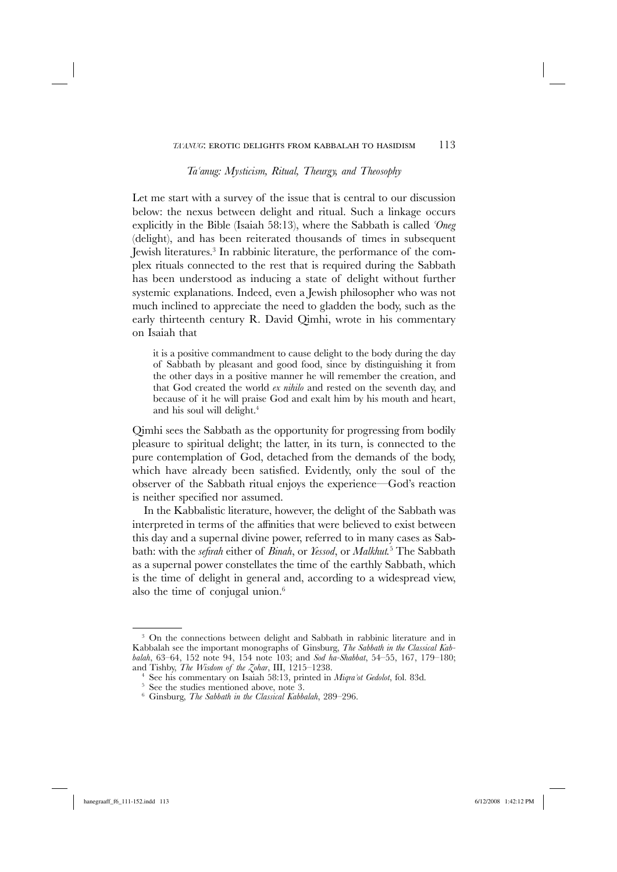#### *TA{ANUG*: erotic delights from kabbalah to hasidism 113

#### *Ta{anug: Mysticism, Ritual, Theurgy, and Theosophy*

Let me start with a survey of the issue that is central to our discussion below: the nexus between delight and ritual. Such a linkage occurs explicitly in the Bible (Isaiah 58:13), where the Sabbath is called *{Oneg* (delight), and has been reiterated thousands of times in subsequent Jewish literatures.<sup>3</sup> In rabbinic literature, the performance of the complex rituals connected to the rest that is required during the Sabbath has been understood as inducing a state of delight without further systemic explanations. Indeed, even a Jewish philosopher who was not much inclined to appreciate the need to gladden the body, such as the early thirteenth century R. David Qimhi, wrote in his commentary on Isaiah that

it is a positive commandment to cause delight to the body during the day of Sabbath by pleasant and good food, since by distinguishing it from the other days in a positive manner he will remember the creation, and that God created the world *ex nihilo* and rested on the seventh day, and because of it he will praise God and exalt him by his mouth and heart, and his soul will delight.4

Qimhi sees the Sabbath as the opportunity for progressing from bodily pleasure to spiritual delight; the latter, in its turn, is connected to the pure contemplation of God, detached from the demands of the body, which have already been satisfied. Evidently, only the soul of the observer of the Sabbath ritual enjoys the experience—God's reaction is neither specified nor assumed.

In the Kabbalistic literature, however, the delight of the Sabbath was interpreted in terms of the affinities that were believed to exist between this day and a supernal divine power, referred to in many cases as Sabbath: with the *sefirah* either of *Binah*, or *Yessod*, or *Malkhut*.<sup>5</sup> The Sabbath as a supernal power constellates the time of the earthly Sabbath, which is the time of delight in general and, according to a widespread view, also the time of conjugal union. $6$ 

<sup>&</sup>lt;sup>3</sup> On the connections between delight and Sabbath in rabbinic literature and in Kabbalah see the important monographs of Ginsburg, *The Sabbath in the Classical Kabbalah*, 63–64, 152 note 94, 154 note 103; and *Sod ha-Shabbat*, 54–55, 167, 179–180; and Tishby, *The Wisdom of the Zohar*, III, 1215–1238.

<sup>&</sup>lt;sup>4</sup> See his commentary on Isaiah 58:13, printed in *Miqra'ot Gedolot*, fol. 83d.

<sup>5</sup> See the studies mentioned above, note 3.

<sup>6</sup> Ginsburg, *The Sabbath in the Classical Kabbalah*, 289–296.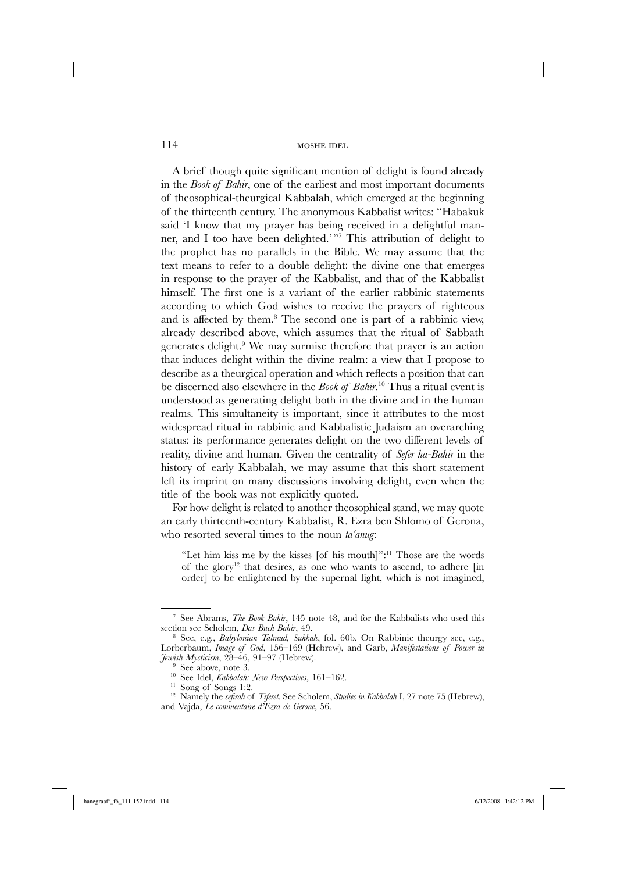A brief though quite significant mention of delight is found already in the *Book of Bahir*, one of the earliest and most important documents of theosophical-theurgical Kabbalah, which emerged at the beginning of the thirteenth century. The anonymous Kabbalist writes: "Habakuk said 'I know that my prayer has being received in a delightful manner, and I too have been delighted.'"<sup>7</sup> This attribution of delight to the prophet has no parallels in the Bible. We may assume that the text means to refer to a double delight: the divine one that emerges in response to the prayer of the Kabbalist, and that of the Kabbalist himself. The first one is a variant of the earlier rabbinic statements according to which God wishes to receive the prayers of righteous and is affected by them.<sup>8</sup> The second one is part of a rabbinic view, already described above, which assumes that the ritual of Sabbath generates delight.<sup>9</sup> We may surmise therefore that prayer is an action that induces delight within the divine realm: a view that I propose to describe as a theurgical operation and which reflects a position that can be discerned also elsewhere in the *Book of Bahir*. 10 Thus a ritual event is understood as generating delight both in the divine and in the human realms. This simultaneity is important, since it attributes to the most widespread ritual in rabbinic and Kabbalistic Judaism an overarching status: its performance generates delight on the two different levels of reality, divine and human. Given the centrality of *Sefer ha-Bahir* in the history of early Kabbalah, we may assume that this short statement left its imprint on many discussions involving delight, even when the title of the book was not explicitly quoted.

For how delight is related to another theosophical stand, we may quote an early thirteenth-century Kabbalist, R. Ezra ben Shlomo of Gerona, who resorted several times to the noun *ta{anug*:

"Let him kiss me by the kisses [of his mouth]":11 Those are the words of the glory<sup>12</sup> that desires, as one who wants to ascend, to adhere  $\lim$ order] to be enlightened by the supernal light, which is not imagined,

<sup>&</sup>lt;sup>7</sup> See Abrams, *The Book Bahir*, 145 note 48, and for the Kabbalists who used this section see Scholem, *Das Buch Bahir*, 49.

See, e.g., *Babylonian Talmud, Sukkah*, fol. 60b. On Rabbinic theurgy see, e.g., Lorberbaum, *Image of God*, 156–169 (Hebrew), and Garb, *Manifestations of Power in Jewish Mysticism*, 28–46, 91–97 (Hebrew).<br><sup>9</sup> See above, note 3.

<sup>10</sup> See Idel, *Kabbalah: New Perspectives*, 161–162.

<sup>&</sup>lt;sup>11</sup> Song of Songs 1:2.

<sup>&</sup>lt;sup>12</sup> Namely the *seftrah* of *Tiferet*. See Scholem, *Studies in Kabbalah* I, 27 note 75 (Hebrew), and Vajda, *Le commentaire d'Ezra de Gerone*, 56.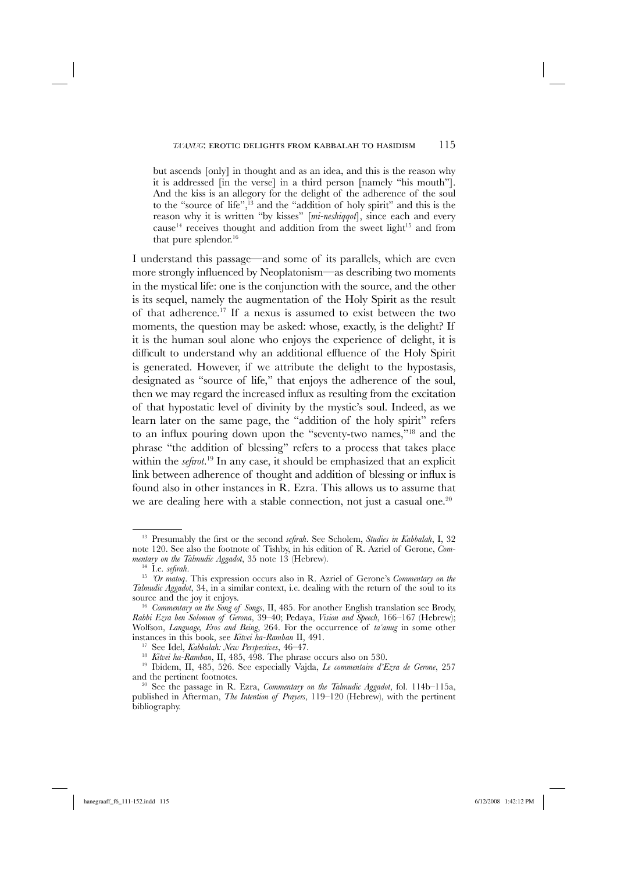but ascends [only] in thought and as an idea, and this is the reason why it is addressed [in the verse] in a third person [namely "his mouth"]. And the kiss is an allegory for the delight of the adherence of the soul to the "source of life",13 and the "addition of holy spirit" and this is the reason why it is written "by kisses" [*mi-neshiqqot*], since each and every cause<sup>14</sup> receives thought and addition from the sweet light<sup>15</sup> and from that pure splendor.<sup>16</sup>

I understand this passage—and some of its parallels, which are even more strongly influenced by Neoplatonism—as describing two moments in the mystical life: one is the conjunction with the source, and the other is its sequel, namely the augmentation of the Holy Spirit as the result of that adherence.17 If a nexus is assumed to exist between the two moments, the question may be asked: whose, exactly, is the delight? If it is the human soul alone who enjoys the experience of delight, it is difficult to understand why an additional effluence of the Holy Spirit is generated. However, if we attribute the delight to the hypostasis, designated as "source of life," that enjoys the adherence of the soul, then we may regard the increased influx as resulting from the excitation of that hypostatic level of divinity by the mystic's soul. Indeed, as we learn later on the same page, the "addition of the holy spirit" refers to an influx pouring down upon the "seventy-two names,"<sup>18</sup> and the phrase "the addition of blessing" refers to a process that takes place within the *sefirot*.<sup>19</sup> In any case, it should be emphasized that an explicit link between adherence of thought and addition of blessing or influx is found also in other instances in R. Ezra. This allows us to assume that we are dealing here with a stable connection, not just a casual one.<sup>20</sup>

<sup>&</sup>lt;sup>13</sup> Presumably the first or the second *sefirah*. See Scholem, *Studies in Kabbalah*, I, 32 note 120. See also the footnote of Tishby, in his edition of R. Azriel of Gerone, *Commentary on the Talmudic Aggadot*, 35 note 13 (Hebrew).

<sup>&</sup>lt;sup>14</sup> I.e. sefirah.

<sup>&</sup>lt;sup>15</sup> *'Or matoq*. This expression occurs also in R. Azriel of Gerone's *Commentary on the Talmudic Aggadot*, 34, in a similar context, i.e. dealing with the return of the soul to its source and the joy it enjoys.

<sup>16</sup> *Commentary on the Song of Songs*, II, 485. For another English translation see Brody, *Rabbi Ezra ben Solomon of Gerona*, 39–40; Pedaya, *Vision and Speech*, 166–167 (Hebrew); Wolfson, *Language, Eros and Being*, 264. For the occurrence of *ta{anug* in some other instances in this book, see *Kitvei ha-Ramban* II, 491.

<sup>17</sup> See Idel, *Kabbalah: New Perspectives*, 46–47.

<sup>&</sup>lt;sup>18</sup> *Kitvei ha-Ramban*, II, 485, 498. The phrase occurs also on 530.

<sup>19</sup> Ibidem, II, 485, 526. See especially Vajda, *Le commentaire d'Ezra de Gerone*, 257 and the pertinent footnotes.

<sup>20</sup> See the passage in R. Ezra, *Commentary on the Talmudic Aggadot*, fol. 114b–115a, published in Afterman, *The Intention of Prayers*, 119–120 (Hebrew), with the pertinent bibliography.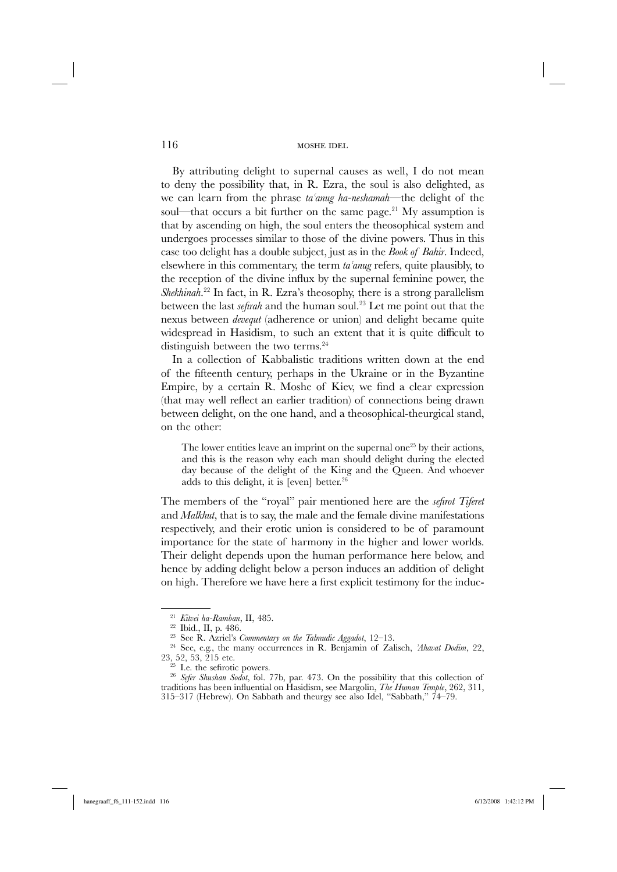# 116 moshe idea work in the method is a mosher in the mosher in the method in the mosher in the mosher in the mosher in the mosher in the mosher in the mosher in the mosher in the mosher in the mosher in the mosher in the m

By attributing delight to supernal causes as well, I do not mean to deny the possibility that, in R. Ezra, the soul is also delighted, as we can learn from the phrase *ta{anug ha-neshamah*—the delight of the soul—that occurs a bit further on the same page.<sup>21</sup> My assumption is that by ascending on high, the soul enters the theosophical system and undergoes processes similar to those of the divine powers. Thus in this case too delight has a double subject, just as in the *Book of Bahir*. Indeed, elsewhere in this commentary, the term *ta{anug* refers, quite plausibly, to the reception of the divine influx by the supernal feminine power, the *Shekhinah*. 22 In fact, in R. Ezra's theosophy, there is a strong parallelism between the last *sefirah* and the human soul.<sup>23</sup> Let me point out that the nexus between *devequt* (adherence or union) and delight became quite widespread in Hasidism, to such an extent that it is quite difficult to distinguish between the two terms.<sup>24</sup>

In a collection of Kabbalistic traditions written down at the end of the fifteenth century, perhaps in the Ukraine or in the Byzantine Empire, by a certain R. Moshe of Kiev, we find a clear expression (that may well reflect an earlier tradition) of connections being drawn between delight, on the one hand, and a theosophical-theurgical stand, on the other:

The lower entities leave an imprint on the supernal one<sup>25</sup> by their actions, and this is the reason why each man should delight during the elected day because of the delight of the King and the Queen. And whoever adds to this delight, it is [even] better.<sup>26</sup>

The members of the "royal" pair mentioned here are the *sefirot Tiferet* and *Malkhut*, that is to say, the male and the female divine manifestations respectively, and their erotic union is considered to be of paramount importance for the state of harmony in the higher and lower worlds. Their delight depends upon the human performance here below, and hence by adding delight below a person induces an addition of delight on high. Therefore we have here a first explicit testimony for the induc-

hanegraaff\_f6\_111-152.indd 116 <br>  $6/12/2008$  1:42:12 PM  $6/12/2008$  1:42:12 PM

<sup>21</sup> *Kitvei ha-Ramban*, II, 485.

<sup>22</sup> Ibid., II, p. 486.

<sup>23</sup> See R. Azriel's *Commentary on the Talmudic Aggadot*, 12–13.

<sup>24</sup> See, e.g., the many occurrences in R. Benjamin of Zalisch, *xAhavat Dodim*, 22, 23, 52, 53, 215 etc.

 $25$  I.e. the sefirotic powers.

<sup>26</sup> *Sefer Shushan Sodot*, fol. 77b, par. 473. On the possibility that this collection of traditions has been influential on Hasidism, see Margolin, *The Human Temple*, 262, 311, 315–317 (Hebrew). On Sabbath and theurgy see also Idel, "Sabbath," 74–79.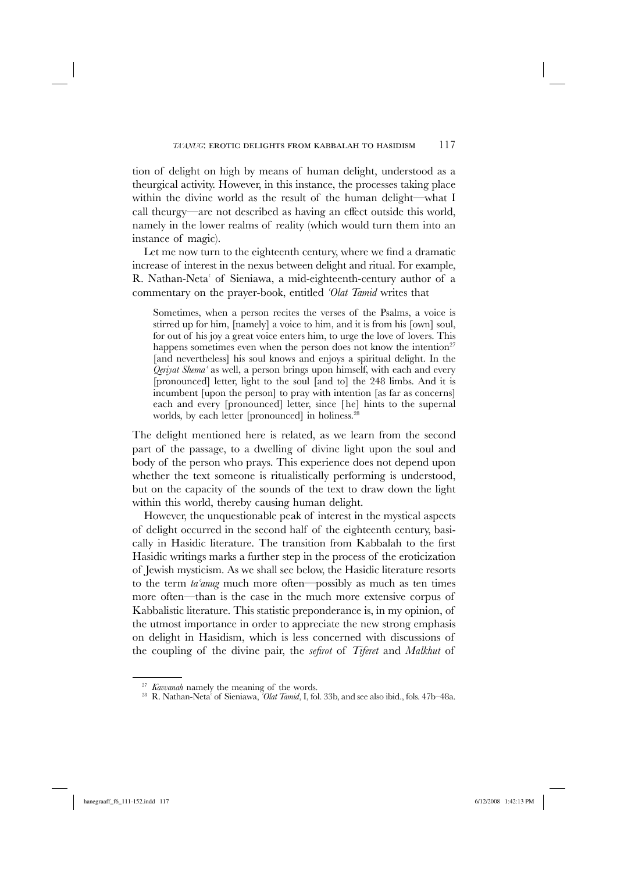tion of delight on high by means of human delight, understood as a theurgical activity. However, in this instance, the processes taking place within the divine world as the result of the human delight—what I call theurgy—are not described as having an effect outside this world, namely in the lower realms of reality (which would turn them into an instance of magic).

Let me now turn to the eighteenth century, where we find a dramatic increase of interest in the nexus between delight and ritual. For example, R. Nathan-Neta{ of Sieniawa, a mid-eighteenth-century author of a commentary on the prayer-book, entitled *{Olat Tamid* writes that

Sometimes, when a person recites the verses of the Psalms, a voice is stirred up for him, [namely] a voice to him, and it is from his [own] soul, for out of his joy a great voice enters him, to urge the love of lovers. This happens sometimes even when the person does not know the intention<sup>27</sup> [and nevertheless] his soul knows and enjoys a spiritual delight. In the *Qeriyat Shema{* as well, a person brings upon himself, with each and every [pronounced] letter, light to the soul [and to] the 248 limbs. And it is incumbent [upon the person] to pray with intention [as far as concerns] each and every [pronounced] letter, since [ he] hints to the supernal worlds, by each letter [pronounced] in holiness.<sup>2</sup>

The delight mentioned here is related, as we learn from the second part of the passage, to a dwelling of divine light upon the soul and body of the person who prays. This experience does not depend upon whether the text someone is ritualistically performing is understood, but on the capacity of the sounds of the text to draw down the light within this world, thereby causing human delight.

However, the unquestionable peak of interest in the mystical aspects of delight occurred in the second half of the eighteenth century, basically in Hasidic literature. The transition from Kabbalah to the first Hasidic writings marks a further step in the process of the eroticization of Jewish mysticism. As we shall see below, the Hasidic literature resorts to the term *ta{anug* much more often—possibly as much as ten times more often—than is the case in the much more extensive corpus of Kabbalistic literature. This statistic preponderance is, in my opinion, of the utmost importance in order to appreciate the new strong emphasis on delight in Hasidism, which is less concerned with discussions of the coupling of the divine pair, the *sefirot* of *Tiferet* and *Malkhut* of

<sup>27</sup> *Kavvanah* namely the meaning of the words.

<sup>28</sup> R. Nathan-Neta{ of Sieniawa, *{Olat Tamid*, I, fol. 33b, and see also ibid., fols. 47b–48a.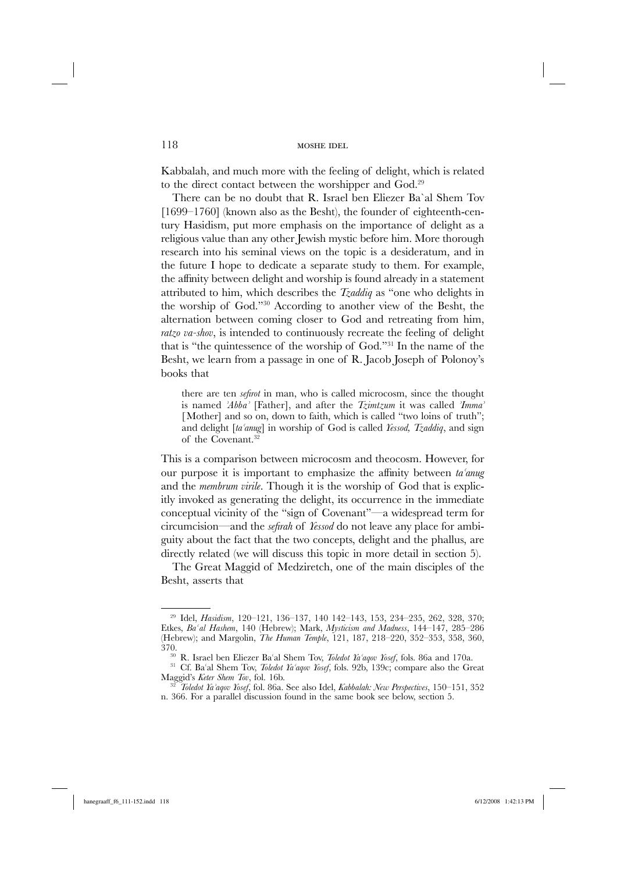118 moshe idea in the moshe idea in the moshe in the moshe in the moshe in the moshe in the moshe in the mosh

Kabbalah, and much more with the feeling of delight, which is related to the direct contact between the worshipper and God.29

There can be no doubt that R. Israel ben Eliezer Ba`al Shem Tov [1699–1760] (known also as the Besht), the founder of eighteenth-century Hasidism, put more emphasis on the importance of delight as a religious value than any other Jewish mystic before him. More thorough research into his seminal views on the topic is a desideratum, and in the future I hope to dedicate a separate study to them. For example, the affinity between delight and worship is found already in a statement attributed to him, which describes the *Tzaddiq* as "one who delights in the worship of God."30 According to another view of the Besht, the alternation between coming closer to God and retreating from him, *ratzo va-shov*, is intended to continuously recreate the feeling of delight that is "the quintessence of the worship of God."31 In the name of the Besht, we learn from a passage in one of R. Jacob Joseph of Polonoy's books that

there are ten *sefirot* in man, who is called microcosm, since the thought is named *'Abba*<sup>*'*</sup> [Father], and after the *Tzimtzum* it was called *'Imma*<sup>*'*</sup> [Mother] and so on, down to faith, which is called "two loins of truth"; and delight [*ta{anug*] in worship of God is called *Yessod, Tzaddiq*, and sign of the Covenant.32

This is a comparison between microcosm and theocosm. However, for our purpose it is important to emphasize the affinity between *ta'anug* and the *membrum virile*. Though it is the worship of God that is explicitly invoked as generating the delight, its occurrence in the immediate conceptual vicinity of the "sign of Covenant"—a widespread term for circumcision—and the *sefirah* of *Yessod* do not leave any place for ambiguity about the fact that the two concepts, delight and the phallus, are directly related (we will discuss this topic in more detail in section 5).

The Great Maggid of Medziretch, one of the main disciples of the Besht, asserts that

<sup>29</sup> Idel, *Hasidism*, 120–121, 136–137, 140 142–143, 153, 234–235, 262, 328, 370; Etkes, *Ba{ al Hashem*, 140 (Hebrew); Mark, *Mysticism and Madness*, 144–147, 285–286 (Hebrew); and Margolin, *The Human Temple*, 121, 187, 218–220, 352–353, 358, 360, 370.

<sup>30</sup> R. Israel ben Eliezer Ba{al Shem Tov, *Toledot Ya{aqov Yosef*, fols. 86a and 170a.

<sup>&</sup>lt;sup>31</sup> Cf. Ba'al Shem Tov, *Toledot Ya'aqov Yosef*, fols. 92b, 139c; compare also the Great Maggid's *Keter Shem Tov*, fol. 16b.

<sup>32</sup> *Toledot Yaxaqov Yosef*, fol. 86a. See also Idel, *Kabbalah: New Perspectives*, 150–151, 352 n. 366. For a parallel discussion found in the same book see below, section 5.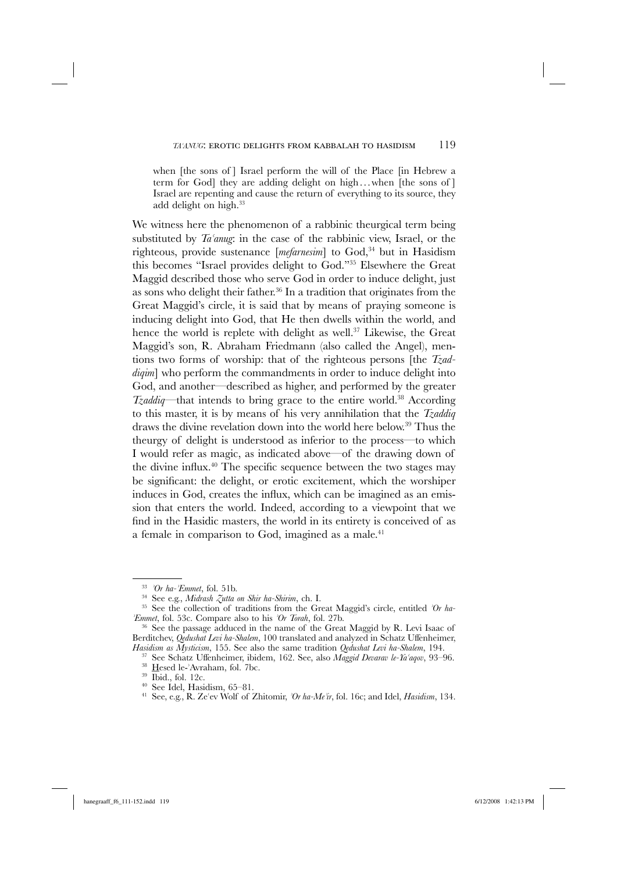when [the sons of] Israel perform the will of the Place [in Hebrew a term for God] they are adding delight on high...when [the sons of] Israel are repenting and cause the return of everything to its source, they add delight on high.33

We witness here the phenomenon of a rabbinic theurgical term being substituted by *Ta{anug*: in the case of the rabbinic view, Israel, or the righteous, provide sustenance [*mefarnesim*] to God,34 but in Hasidism this becomes "Israel provides delight to God."35 Elsewhere the Great Maggid described those who serve God in order to induce delight, just as sons who delight their father.<sup>36</sup> In a tradition that originates from the Great Maggid's circle, it is said that by means of praying someone is inducing delight into God, that He then dwells within the world, and hence the world is replete with delight as well.<sup>37</sup> Likewise, the Great Maggid's son, R. Abraham Friedmann (also called the Angel), mentions two forms of worship: that of the righteous persons [the *Tzaddiqim*] who perform the commandments in order to induce delight into God, and another—described as higher, and performed by the greater *Tzaddiq*—that intends to bring grace to the entire world.38 According to this master, it is by means of his very annihilation that the *Tzaddiq* draws the divine revelation down into the world here below.39 Thus the theurgy of delight is understood as inferior to the process—to which I would refer as magic, as indicated above—of the drawing down of the divine influx. $40$  The specific sequence between the two stages may be significant: the delight, or erotic excitement, which the worshiper induces in God, creates the influx, which can be imagined as an emission that enters the world. Indeed, according to a viewpoint that we find in the Hasidic masters, the world in its entirety is conceived of as a female in comparison to God, imagined as a male.<sup>41</sup>

<sup>33</sup> *xOr ha-xEmmet*, fol. 51b.

<sup>34</sup> See e.g., *Midrash Zutta on Shir ha-Shirim*, ch. I.

<sup>&</sup>lt;sup>35</sup> See the collection of traditions from the Great Maggid's circle, entitled *Or haxEmmet*, fol. 53c. Compare also to his *xOr Torah*, fol. 27b.

<sup>&</sup>lt;sup>36</sup> See the passage adduced in the name of the Great Maggid by R. Levi Isaac of Berditchev, *Qedushat Levi ha-Shalem*, 100 translated and analyzed in Schatz Uffenheimer, *Hasidism as Mysticism*, 155. See also the same tradition *Qedushat Levi ha-Shalem*, 194.

<sup>37</sup> See Schatz Uffenheimer, ibidem, 162. See, also *Maggid Devarav le-Ya{aqov*, 93–96. <sup>38</sup> Hesed le-'Avraham, fol. 7bc.

 $39$  Ibid., fol. 12c.

<sup>40</sup> See Idel, Hasidism, 65–81.

 $^{41}$  See, e.g., R. Ze'ev Wolf of Zhitomir, *Or ha-Me'ir*, fol. 16c; and Idel, *Hasidism*, 134.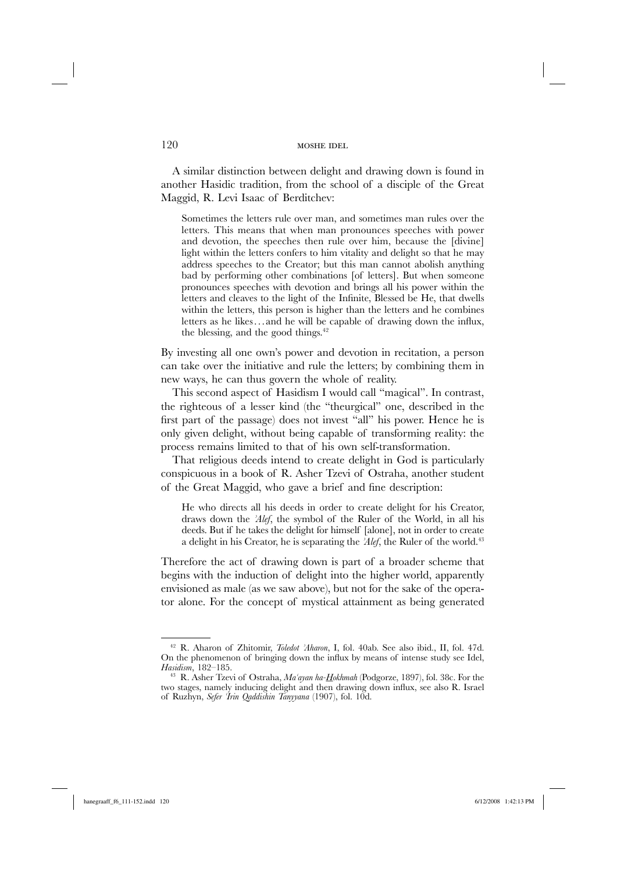A similar distinction between delight and drawing down is found in another Hasidic tradition, from the school of a disciple of the Great Maggid, R. Levi Isaac of Berditchev:

Sometimes the letters rule over man, and sometimes man rules over the letters. This means that when man pronounces speeches with power and devotion, the speeches then rule over him, because the [divine] light within the letters confers to him vitality and delight so that he may address speeches to the Creator; but this man cannot abolish anything bad by performing other combinations [of letters]. But when someone pronounces speeches with devotion and brings all his power within the letters and cleaves to the light of the Infinite, Blessed be He, that dwells within the letters, this person is higher than the letters and he combines letters as he likes...and he will be capable of drawing down the influx, the blessing, and the good things.<sup>42</sup>

By investing all one own's power and devotion in recitation, a person can take over the initiative and rule the letters; by combining them in new ways, he can thus govern the whole of reality.

This second aspect of Hasidism I would call "magical". In contrast, the righteous of a lesser kind (the "theurgical" one, described in the first part of the passage) does not invest "all" his power. Hence he is only given delight, without being capable of transforming reality: the process remains limited to that of his own self-transformation.

That religious deeds intend to create delight in God is particularly conspicuous in a book of R. Asher Tzevi of Ostraha, another student of the Great Maggid, who gave a brief and fine description:

He who directs all his deeds in order to create delight for his Creator, draws down the *xAlef*, the symbol of the Ruler of the World, in all his deeds. But if he takes the delight for himself [alone], not in order to create a delight in his Creator, he is separating the *Alef*, the Ruler of the world.<sup>43</sup>

Therefore the act of drawing down is part of a broader scheme that begins with the induction of delight into the higher world, apparently envisioned as male (as we saw above), but not for the sake of the operator alone. For the concept of mystical attainment as being generated

<sup>42</sup> R. Aharon of Zhitomir, *Toledot xAharon*, I, fol. 40ab. See also ibid., II, fol. 47d. On the phenomenon of bringing down the influx by means of intense study see Idel, *Hasidism*, 182–185.

<sup>&</sup>lt;sup>43</sup> R. Asher Tzevi of Ostraha, *Ma'ayan ha-Hokhmah* (Podgorze, 1897), fol. 38c. For the two stages, namely inducing delight and then drawing down influx, see also R. Israel of Ruzhyn, *Sefer {Irin Qaddishin Tanyyana* (1907), fol. 10d.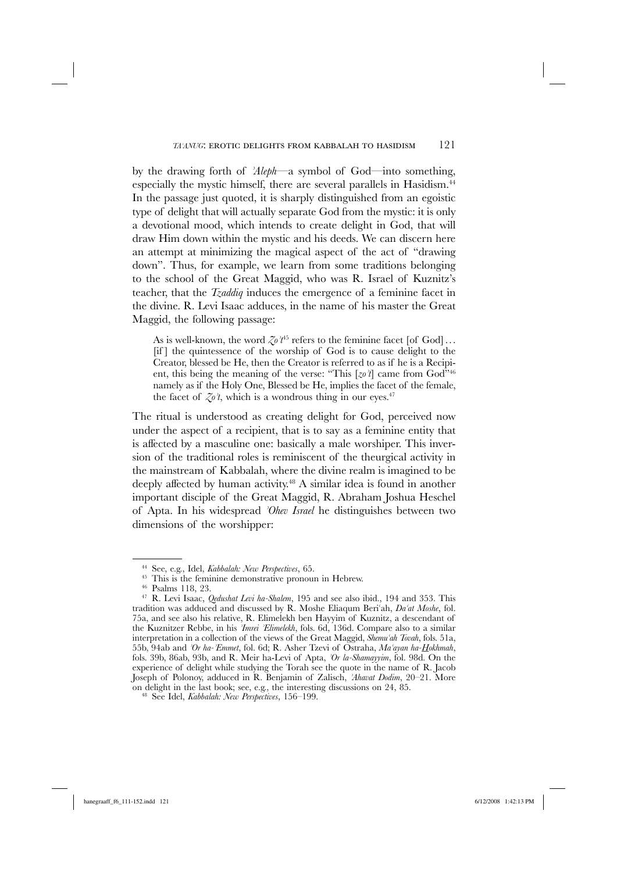by the drawing forth of *xAleph*—a symbol of God—into something, especially the mystic himself, there are several parallels in Hasidism.44 In the passage just quoted, it is sharply distinguished from an egoistic type of delight that will actually separate God from the mystic: it is only a devotional mood, which intends to create delight in God, that will draw Him down within the mystic and his deeds. We can discern here an attempt at minimizing the magical aspect of the act of "drawing down". Thus, for example, we learn from some traditions belonging to the school of the Great Maggid, who was R. Israel of Kuznitz's teacher, that the *Tzaddiq* induces the emergence of a feminine facet in the divine. R. Levi Isaac adduces, in the name of his master the Great Maggid, the following passage:

As is well-known, the word  $\tilde{\chi}$   $\tilde{\chi}$ <sup>45</sup> refers to the feminine facet [of God]... [if ] the quintessence of the worship of God is to cause delight to the Creator, blessed be He, then the Creator is referred to as if he is a Recipient, this being the meaning of the verse: "This [ $zo^{\gamma}$ *t*] came from God<sup>"46</sup> namely as if the Holy One, Blessed be He, implies the facet of the female, the facet of  $\zeta_0 t$ , which is a wondrous thing in our eyes.<sup>47</sup>

The ritual is understood as creating delight for God, perceived now under the aspect of a recipient, that is to say as a feminine entity that is affected by a masculine one: basically a male worshiper. This inversion of the traditional roles is reminiscent of the theurgical activity in the mainstream of Kabbalah, where the divine realm is imagined to be deeply affected by human activity.48 A similar idea is found in another important disciple of the Great Maggid, R. Abraham Joshua Heschel of Apta. In his widespread *'Ohev Israel* he distinguishes between two dimensions of the worshipper:

<sup>44</sup> See, e.g., Idel, *Kabbalah: New Perspectives*, 65.

<sup>&</sup>lt;sup>45</sup> This is the feminine demonstrative pronoun in Hebrew.

<sup>46</sup> Psalms 118, 23.

<sup>47</sup> R. Levi Isaac, *Qedushat Levi ha-Shalem*, 195 and see also ibid., 194 and 353. This tradition was adduced and discussed by R. Moshe Eliaqum Beri{ah, *Da{at Moshe*, fol. 75a, and see also his relative, R. Elimelekh ben Hayyim of Kuznitz, a descendant of the Kuznitzer Rebbe, in his *Imrei 'Elimelekh*, fols. 6d, 136d. Compare also to a similar interpretation in a collection of the views of the Great Maggid, *Shemu{ah Tovah*, fols. 51a, 55b, 94ab and *xOr ha-xEmmet*, fol. 6d; R. Asher Tzevi of Ostraha, *Ma{ayan ha-okhmah*, fols. 39b, 86ab, 93b, and R. Meir ha-Levi of Apta, *xOr la-Shamayyim*, fol. 98d. On the experience of delight while studying the Torah see the quote in the name of R. Jacob Joseph of Polonoy, adduced in R. Benjamin of Zalisch, *xAhavat Dodim*, 20–21. More on delight in the last book; see, e.g., the interesting discussions on 24, 85.

<sup>48</sup> See Idel, *Kabbalah: New Perspectives*, 156–199.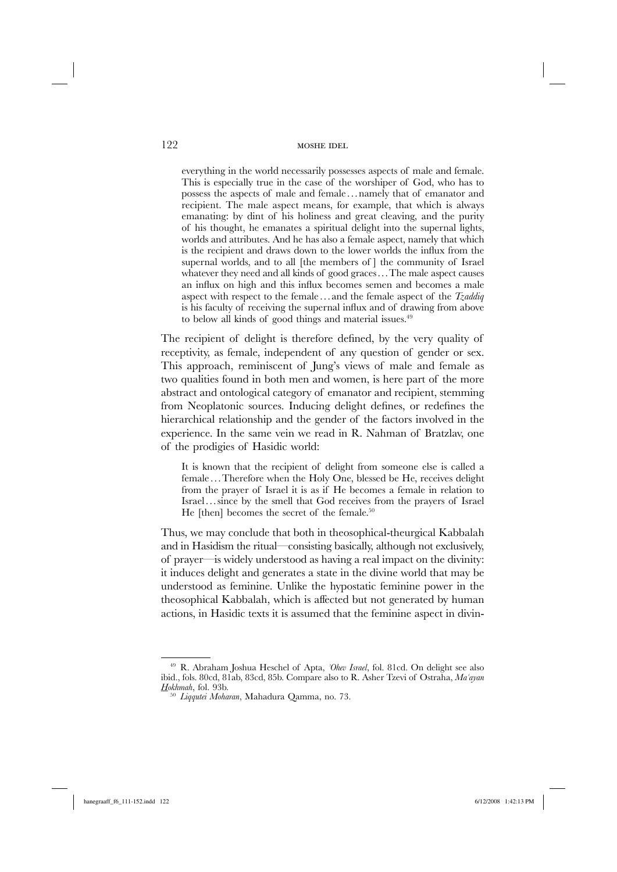# 122 moshe idel

everything in the world necessarily possesses aspects of male and female. This is especially true in the case of the worshiper of God, who has to possess the aspects of male and female . . . namely that of emanator and recipient. The male aspect means, for example, that which is always emanating: by dint of his holiness and great cleaving, and the purity of his thought, he emanates a spiritual delight into the supernal lights, worlds and attributes. And he has also a female aspect, namely that which is the recipient and draws down to the lower worlds the influx from the supernal worlds, and to all [the members of ] the community of Israel whatever they need and all kinds of good graces ... The male aspect causes an influx on high and this influx becomes semen and becomes a male aspect with respect to the female . . . and the female aspect of the *Tzaddiq*  is his faculty of receiving the supernal influx and of drawing from above to below all kinds of good things and material issues.<sup>49</sup>

The recipient of delight is therefore defined, by the very quality of receptivity, as female, independent of any question of gender or sex. This approach, reminiscent of Jung's views of male and female as two qualities found in both men and women, is here part of the more abstract and ontological category of emanator and recipient, stemming from Neoplatonic sources. Inducing delight defines, or redefines the hierarchical relationship and the gender of the factors involved in the experience. In the same vein we read in R. Nahman of Bratzlav, one of the prodigies of Hasidic world:

It is known that the recipient of delight from someone else is called a female . . . Therefore when the Holy One, blessed be He, receives delight from the prayer of Israel it is as if He becomes a female in relation to Israel...since by the smell that God receives from the prayers of Israel He [then] becomes the secret of the female.<sup>50</sup>

Thus, we may conclude that both in theosophical-theurgical Kabbalah and in Hasidism the ritual—consisting basically, although not exclusively, of prayer—is widely understood as having a real impact on the divinity: it induces delight and generates a state in the divine world that may be understood as feminine. Unlike the hypostatic feminine power in the theosophical Kabbalah, which is affected but not generated by human actions, in Hasidic texts it is assumed that the feminine aspect in divin-

<sup>&</sup>lt;sup>49</sup> R. Abraham Joshua Heschel of Apta, *'Ohev Israel*, fol. 81cd. On delight see also ibid., fols. 80cd, 81ab, 83cd, 85b. Compare also to R. Asher Tzevi of Ostraha, *Ma{ayan okhmah*, fol. 93b.

<sup>50</sup> *Liqqutei Moharan*, Mahadura Qamma, no. 73.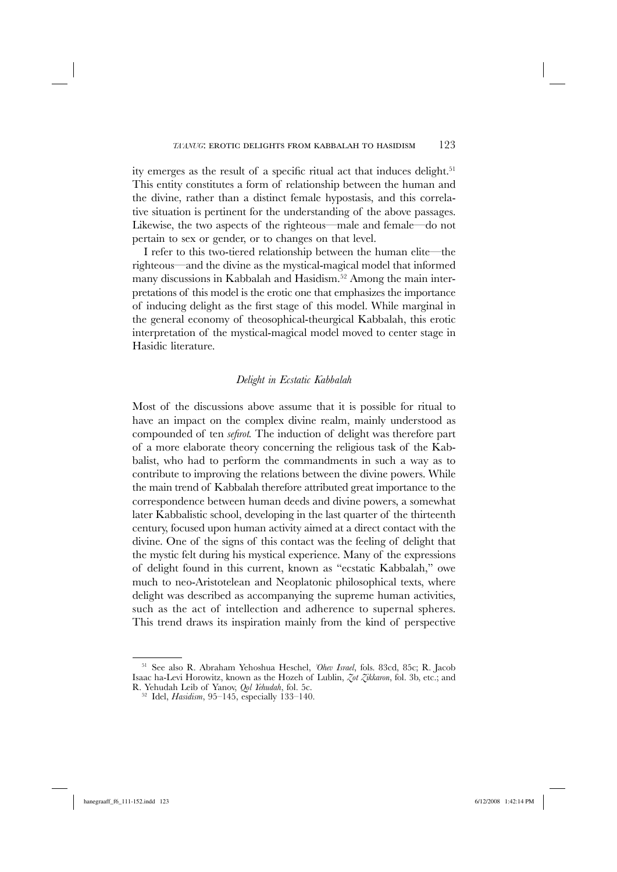ity emerges as the result of a specific ritual act that induces delight.<sup>51</sup> This entity constitutes a form of relationship between the human and the divine, rather than a distinct female hypostasis, and this correlative situation is pertinent for the understanding of the above passages. Likewise, the two aspects of the righteous—male and female—do not pertain to sex or gender, or to changes on that level.

I refer to this two-tiered relationship between the human elite—the righteous—and the divine as the mystical-magical model that informed many discussions in Kabbalah and Hasidism.<sup>52</sup> Among the main interpretations of this model is the erotic one that emphasizes the importance of inducing delight as the first stage of this model. While marginal in the general economy of theosophical-theurgical Kabbalah, this erotic interpretation of the mystical-magical model moved to center stage in Hasidic literature.

#### *Delight in Ecstatic Kabbalah*

Most of the discussions above assume that it is possible for ritual to have an impact on the complex divine realm, mainly understood as compounded of ten *sefirot*. The induction of delight was therefore part of a more elaborate theory concerning the religious task of the Kabbalist, who had to perform the commandments in such a way as to contribute to improving the relations between the divine powers. While the main trend of Kabbalah therefore attributed great importance to the correspondence between human deeds and divine powers, a somewhat later Kabbalistic school, developing in the last quarter of the thirteenth century, focused upon human activity aimed at a direct contact with the divine. One of the signs of this contact was the feeling of delight that the mystic felt during his mystical experience. Many of the expressions of delight found in this current, known as "ecstatic Kabbalah," owe much to neo-Aristotelean and Neoplatonic philosophical texts, where delight was described as accompanying the supreme human activities, such as the act of intellection and adherence to supernal spheres. This trend draws its inspiration mainly from the kind of perspective

<sup>&</sup>lt;sup>51</sup> See also R. Abraham Yehoshua Heschel, *'Ohev Israel*, fols. 83cd, 85c; R. Jacob Isaac ha-Levi Horowitz, known as the Hozeh of Lublin, *Zot Zikkaron*, fol. 3b, etc.; and R. Yehudah Leib of Yanov, *Qol Yehudah*, fol. 5c.

<sup>52</sup> Idel, *Hasidism*, 95–145, especially 133–140.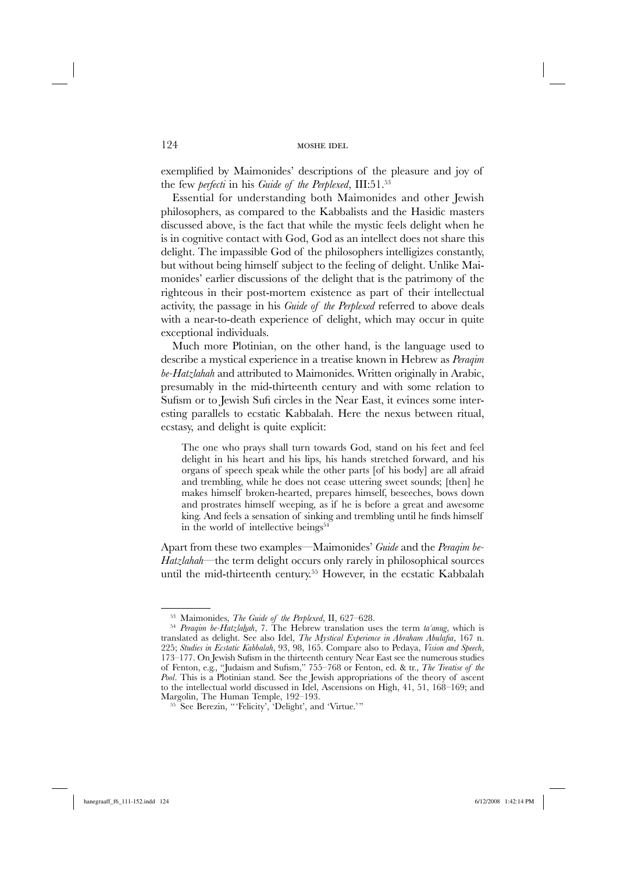exemplified by Maimonides' descriptions of the pleasure and joy of the few *perfecti* in his *Guide of the Perplexed*, III:51.53

Essential for understanding both Maimonides and other Jewish philosophers, as compared to the Kabbalists and the Hasidic masters discussed above, is the fact that while the mystic feels delight when he is in cognitive contact with God, God as an intellect does not share this delight. The impassible God of the philosophers intelligizes constantly, but without being himself subject to the feeling of delight. Unlike Maimonides' earlier discussions of the delight that is the patrimony of the righteous in their post-mortem existence as part of their intellectual activity, the passage in his *Guide of the Perplexed* referred to above deals with a near-to-death experience of delight, which may occur in quite exceptional individuals.

Much more Plotinian, on the other hand, is the language used to describe a mystical experience in a treatise known in Hebrew as *Peraqim be-Hatzlahah* and attributed to Maimonides. Written originally in Arabic, presumably in the mid-thirteenth century and with some relation to Sufism or to Jewish Sufi circles in the Near East, it evinces some interesting parallels to ecstatic Kabbalah. Here the nexus between ritual, ecstasy, and delight is quite explicit:

The one who prays shall turn towards God, stand on his feet and feel delight in his heart and his lips, his hands stretched forward, and his organs of speech speak while the other parts [of his body] are all afraid and trembling, while he does not cease uttering sweet sounds; [then] he makes himself broken-hearted, prepares himself, beseeches, bows down and prostrates himself weeping, as if he is before a great and awesome king. And feels a sensation of sinking and trembling until he finds himself in the world of intellective beings<sup>54</sup>

Apart from these two examples—Maimonides' *Guide* and the *Peraqim be-Hatzlahah*—the term delight occurs only rarely in philosophical sources until the mid-thirteenth century.<sup>55</sup> However, in the ecstatic Kabbalah

<sup>53</sup> Maimonides, *The Guide of the Perplexed*, II, 627–628.

<sup>&</sup>lt;sup>54</sup> Peraqim be-Hatzlahah, 7. The Hebrew translation uses the term ta'anug, which is translated as delight. See also Idel, *The Mystical Experience in Abraham Abulafia*, 167 n. 225; *Studies in Ecstatic Kabbalah*, 93, 98, 165. Compare also to Pedaya, *Vision and Speech*, 173–177. On Jewish Sufism in the thirteenth century Near East see the numerous studies of Fenton, e.g., "Judaism and Sufism," 755-768 or Fenton, ed. & tr., *The Treatise of the Pool*. This is a Plotinian stand. See the Jewish appropriations of the theory of ascent to the intellectual world discussed in Idel, Ascensions on High, 41, 51, 168–169; and Margolin, The Human Temple, 192–193.

<sup>&</sup>lt;sup>55</sup> See Berezin, "'Felicity', 'Delight', and 'Virtue.'"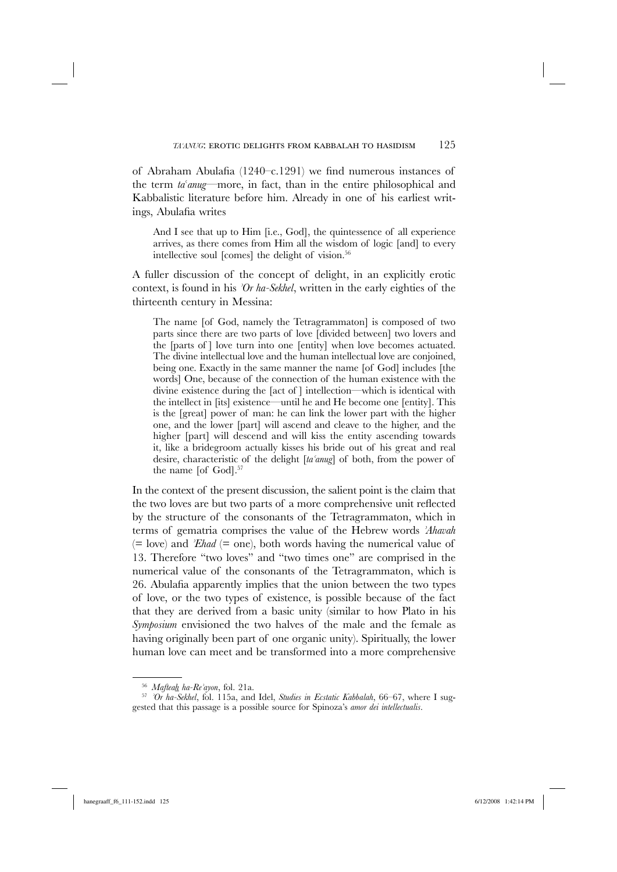of Abraham Abulafia  $(1240-c.1291)$  we find numerous instances of the term *ta*{*anug*—more, in fact, than in the entire philosophical and Kabbalistic literature before him. Already in one of his earliest writings, Abulafia writes

And I see that up to Him [i.e., God], the quintessence of all experience arrives, as there comes from Him all the wisdom of logic [and] to every intellective soul [comes] the delight of vision.<sup>56</sup>

A fuller discussion of the concept of delight, in an explicitly erotic context, is found in his *'Or ha-Sekhel*, written in the early eighties of the thirteenth century in Messina:

The name [of God, namely the Tetragrammaton] is composed of two parts since there are two parts of love [divided between] two lovers and the [parts of ] love turn into one [entity] when love becomes actuated. The divine intellectual love and the human intellectual love are conjoined, being one. Exactly in the same manner the name [of God] includes [the words] One, because of the connection of the human existence with the divine existence during the [act of ] intellection—which is identical with the intellect in [its] existence—until he and He become one [entity]. This is the [great] power of man: he can link the lower part with the higher one, and the lower [part] will ascend and cleave to the higher, and the higher [part] will descend and will kiss the entity ascending towards it, like a bridegroom actually kisses his bride out of his great and real desire, characteristic of the delight [*ta{anug*] of both, from the power of the name [of God].57

In the context of the present discussion, the salient point is the claim that the two loves are but two parts of a more comprehensive unit reflected by the structure of the consonants of the Tetragrammaton, which in terms of gematria comprises the value of the Hebrew words *xAhavah*  $(=$  love) and *'Ehad* ( $=$  one), both words having the numerical value of 13. Therefore "two loves" and "two times one" are comprised in the numerical value of the consonants of the Tetragrammaton, which is 26. Abulafia apparently implies that the union between the two types of love, or the two types of existence, is possible because of the fact that they are derived from a basic unity (similar to how Plato in his *Symposium* envisioned the two halves of the male and the female as having originally been part of one organic unity). Spiritually, the lower human love can meet and be transformed into a more comprehensive

<sup>&</sup>lt;sup>56</sup> *Mafteah ha-Re*<sup>2</sup>*ayon*, fol. 21a.

<sup>57</sup> *xOr ha-Sekhel*, fol. 115a, and Idel, *Studies in Ecstatic Kabbalah*, 66–67, where I suggested that this passage is a possible source for Spinoza's *amor dei intellectualis*.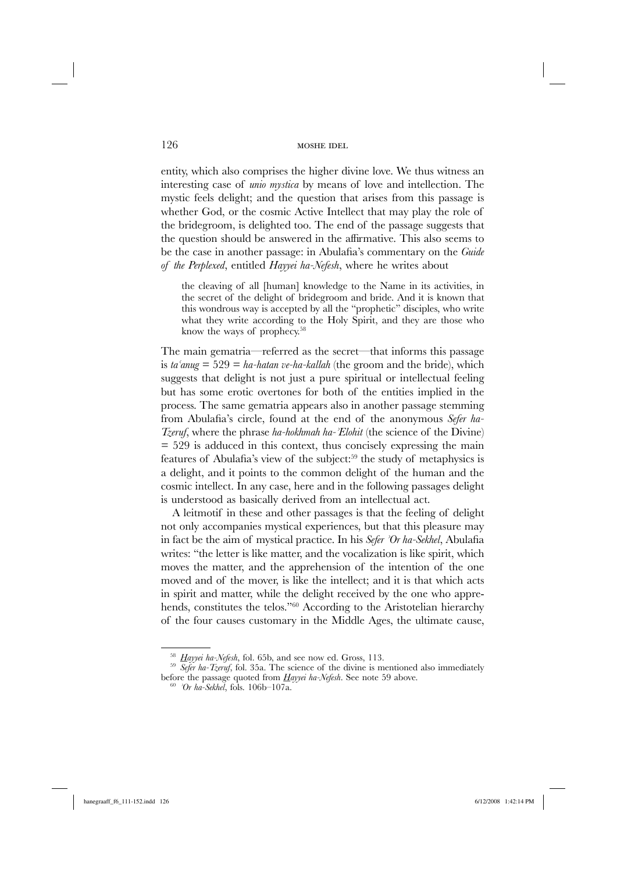entity, which also comprises the higher divine love. We thus witness an interesting case of *unio mystica* by means of love and intellection. The mystic feels delight; and the question that arises from this passage is whether God, or the cosmic Active Intellect that may play the role of the bridegroom, is delighted too. The end of the passage suggests that the question should be answered in the affirmative. This also seems to be the case in another passage: in Abulafia's commentary on the *Guide of the Perplexed*, entitled *Hayyei ha-Nefesh*, where he writes about

the cleaving of all [human] knowledge to the Name in its activities, in the secret of the delight of bridegroom and bride. And it is known that this wondrous way is accepted by all the "prophetic" disciples, who write what they write according to the Holy Spirit, and they are those who know the ways of prophecy.<sup>58</sup>

The main gematria—referred as the secret—that informs this passage is *ta*<sup>{</sup> $anug = 529 = ha-hatan ve-ha-kallah$  (the groom and the bride), which suggests that delight is not just a pure spiritual or intellectual feeling but has some erotic overtones for both of the entities implied in the process. The same gematria appears also in another passage stemming from Abulafia's circle, found at the end of the anonymous *Sefer ha-Tzeruf*, where the phrase *ha-hokhmah ha-xElohit* (the science of the Divine)  $= 529$  is adduced in this context, thus concisely expressing the main features of Abulafia's view of the subject:<sup>59</sup> the study of metaphysics is a delight, and it points to the common delight of the human and the cosmic intellect. In any case, here and in the following passages delight is understood as basically derived from an intellectual act.

A leitmotif in these and other passages is that the feeling of delight not only accompanies mystical experiences, but that this pleasure may in fact be the aim of mystical practice. In his *Sefer 'Or ha-Sekhel*, Abulafia writes: "the letter is like matter, and the vocalization is like spirit, which moves the matter, and the apprehension of the intention of the one moved and of the mover, is like the intellect; and it is that which acts in spirit and matter, while the delight received by the one who apprehends, constitutes the telos."<sup>60</sup> According to the Aristotelian hierarchy of the four causes customary in the Middle Ages, the ultimate cause,

<sup>58</sup> *ayyei ha-Nefesh*, fol. 65b, and see now ed. Gross, 113.

<sup>&</sup>lt;sup>59</sup> *Sefer ha-Tzeruf*, fol. 35a. The science of the divine is mentioned also immediately before the passage quoted from *Hayyei ha-Nefesh*. See note 59 above.

<sup>60</sup> *xOr ha-Sekhel*, fols. 106b–107a.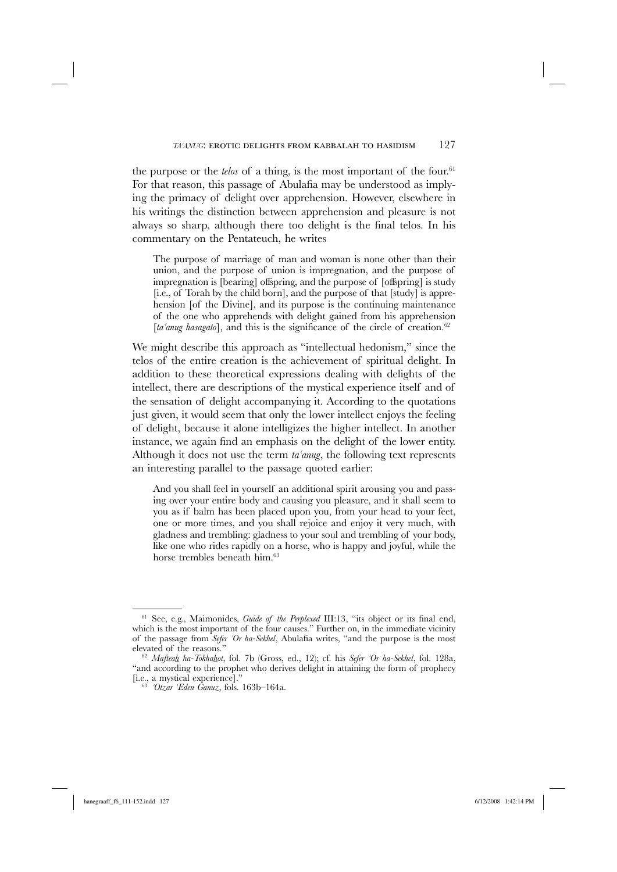the purpose or the *telos* of a thing, is the most important of the four.<sup>61</sup> For that reason, this passage of Abulafia may be understood as implying the primacy of delight over apprehension. However, elsewhere in his writings the distinction between apprehension and pleasure is not always so sharp, although there too delight is the final telos. In his commentary on the Pentateuch, he writes

The purpose of marriage of man and woman is none other than their union, and the purpose of union is impregnation, and the purpose of impregnation is [bearing] offspring, and the purpose of [offspring] is study [i.e., of Torah by the child born], and the purpose of that [study] is apprehension [of the Divine], and its purpose is the continuing maintenance of the one who apprehends with delight gained from his apprehension  $[ta'$ *anug hasagato*], and this is the significance of the circle of creation.<sup>62</sup>

We might describe this approach as "intellectual hedonism," since the telos of the entire creation is the achievement of spiritual delight. In addition to these theoretical expressions dealing with delights of the intellect, there are descriptions of the mystical experience itself and of the sensation of delight accompanying it. According to the quotations just given, it would seem that only the lower intellect enjoys the feeling of delight, because it alone intelligizes the higher intellect. In another instance, we again find an emphasis on the delight of the lower entity. Although it does not use the term *ta{anug*, the following text represents an interesting parallel to the passage quoted earlier:

And you shall feel in yourself an additional spirit arousing you and passing over your entire body and causing you pleasure, and it shall seem to you as if balm has been placed upon you, from your head to your feet, one or more times, and you shall rejoice and enjoy it very much, with gladness and trembling: gladness to your soul and trembling of your body, like one who rides rapidly on a horse, who is happy and joyful, while the horse trembles beneath him.<sup>63</sup>

hanegraaff\_f6\_111-152.indd 127 6/12/2008 1:42:14 PM /12/2008 1:42:14 PM /12/2008 1:42:14 PM /12/2008 1:42:14 PM

<sup>&</sup>lt;sup>61</sup> See, e.g., Maimonides, *Guide of the Perplexed III:13*, "its object or its final end, which is the most important of the four causes." Further on, in the immediate vicinity of the passage from *Sefer 'Or ha-Sekhel*, Abulafia writes, "and the purpose is the most elevated of the reasons."

<sup>62</sup> *Mafteah ha-Tokhahot*, fol. 7b (Gross, ed., 12); cf. his *Sefer xOr ha-Sekhel*, fol. 128a, "and according to the prophet who derives delight in attaining the form of prophecy [i.e., a mystical experience]."

<sup>63</sup> *xOtzar {Eden Ganuz*, fols. 163b–164a.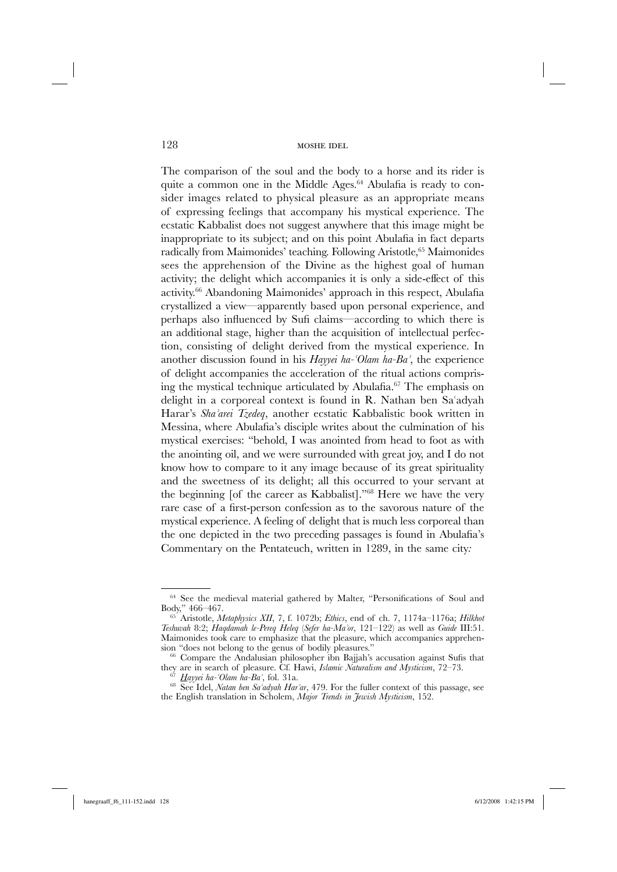128 moshe idel not a moshe idea

The comparison of the soul and the body to a horse and its rider is quite a common one in the Middle Ages. $64$  Abulafia is ready to consider images related to physical pleasure as an appropriate means of expressing feelings that accompany his mystical experience. The ecstatic Kabbalist does not suggest anywhere that this image might be inappropriate to its subject; and on this point Abulafia in fact departs radically from Maimonides' teaching. Following Aristotle,<sup>65</sup> Maimonides sees the apprehension of the Divine as the highest goal of human activity; the delight which accompanies it is only a side-effect of this activity.<sup>66</sup> Abandoning Maimonides' approach in this respect, Abulafia crystallized a view—apparently based upon personal experience, and perhaps also influenced by Sufi claims—according to which there is an additional stage, higher than the acquisition of intellectual perfection, consisting of delight derived from the mystical experience. In another discussion found in his *Hayyei ha-{Olam ha-Bax*, the experience of delight accompanies the acceleration of the ritual actions comprising the mystical technique articulated by Abulafia.<sup>67</sup> The emphasis on delight in a corporeal context is found in R. Nathan ben Sa'adyah Harar's *Shaxarei Tzedeq*, another ecstatic Kabbalistic book written in Messina, where Abulafia's disciple writes about the culmination of his mystical exercises: "behold, I was anointed from head to foot as with the anointing oil, and we were surrounded with great joy, and I do not know how to compare to it any image because of its great spirituality and the sweetness of its delight; all this occurred to your servant at the beginning [of the career as Kabbalist]."68 Here we have the very rare case of a first-person confession as to the savorous nature of the mystical experience. A feeling of delight that is much less corporeal than the one depicted in the two preceding passages is found in Abulafia's Commentary on the Pentateuch, written in 1289, in the same city*:*

<sup>&</sup>lt;sup>64</sup> See the medieval material gathered by Malter, "Personifications of Soul and Body," 466–467.

<sup>65</sup> Aristotle, *Metaphysics XII*, 7, f. 1072b; *Ethics*, end of ch. 7, 1174a–1176a; *Hilkhot Teshuvah* 8:2; *Haqdamah le-Pereq Heleq* (*Sefer ha-Maxor*, 121–122) as well as *Guide* III:51. Maimonides took care to emphasize that the pleasure, which accompanies apprehension "does not belong to the genus of bodily pleasures."

<sup>&</sup>lt;sup>66</sup> Compare the Andalusian philosopher ibn Bajjah's accusation against Sufis that they are in search of pleasure. Cf. Hawi, *Islamic Naturalism and Mysticism*, 72–73.

<sup>67</sup> *Hayyei ha-{Olam ha-Bax*, fol. 31a.

<sup>68</sup> See Idel, *Natan ben Sa{adyah Harxar*, 479. For the fuller context of this passage, see the English translation in Scholem, *Major Trends in Jewish Mysticism*, 152.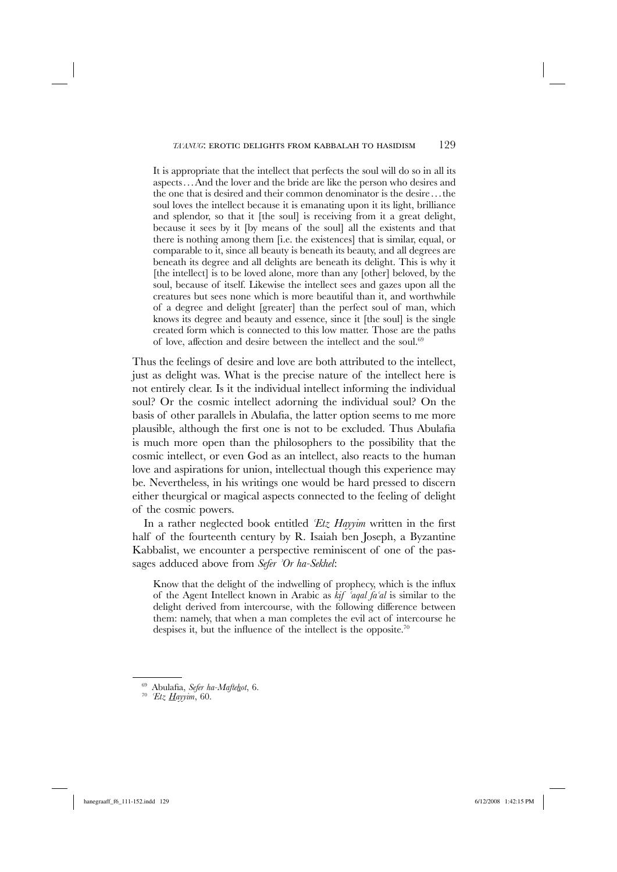It is appropriate that the intellect that perfects the soul will do so in all its aspects . . . And the lover and the bride are like the person who desires and the one that is desired and their common denominator is the desire . . . the soul loves the intellect because it is emanating upon it its light, brilliance and splendor, so that it [the soul] is receiving from it a great delight, because it sees by it [by means of the soul] all the existents and that there is nothing among them [i.e. the existences] that is similar, equal, or comparable to it, since all beauty is beneath its beauty, and all degrees are beneath its degree and all delights are beneath its delight. This is why it [the intellect] is to be loved alone, more than any [other] beloved, by the soul, because of itself. Likewise the intellect sees and gazes upon all the creatures but sees none which is more beautiful than it, and worthwhile of a degree and delight [greater] than the perfect soul of man, which knows its degree and beauty and essence, since it [the soul] is the single created form which is connected to this low matter. Those are the paths of love, affection and desire between the intellect and the soul.<sup>69</sup>

Thus the feelings of desire and love are both attributed to the intellect, just as delight was. What is the precise nature of the intellect here is not entirely clear. Is it the individual intellect informing the individual soul? Or the cosmic intellect adorning the individual soul? On the basis of other parallels in Abulafia, the latter option seems to me more plausible, although the first one is not to be excluded. Thus Abulafia is much more open than the philosophers to the possibility that the cosmic intellect, or even God as an intellect, also reacts to the human love and aspirations for union, intellectual though this experience may be. Nevertheless, in his writings one would be hard pressed to discern either theurgical or magical aspects connected to the feeling of delight of the cosmic powers.

In a rather neglected book entitled *Etz Hayyim* written in the first half of the fourteenth century by R. Isaiah ben Joseph, a Byzantine Kabbalist, we encounter a perspective reminiscent of one of the passages adduced above from *Sefer xOr ha-Sekhel*:

Know that the delight of the indwelling of prophecy, which is the influx of the Agent Intellect known in Arabic as *kif {aqal fa{al* is similar to the delight derived from intercourse, with the following difference between them: namely, that when a man completes the evil act of intercourse he despises it, but the influence of the intellect is the opposite.<sup>70</sup>

hanegraaff\_f6\_111-152.indd 129 <br>  $6/12/2008$  1:42:15 PM  $6/12/2008$  1:42:15 PM

<sup>&</sup>lt;sup>69</sup> Abulafia, *Sefer ha-Maftehot*, 6.

<sup>&</sup>lt;sup>70</sup> *Etz <u>H</u>ayyim*, 60.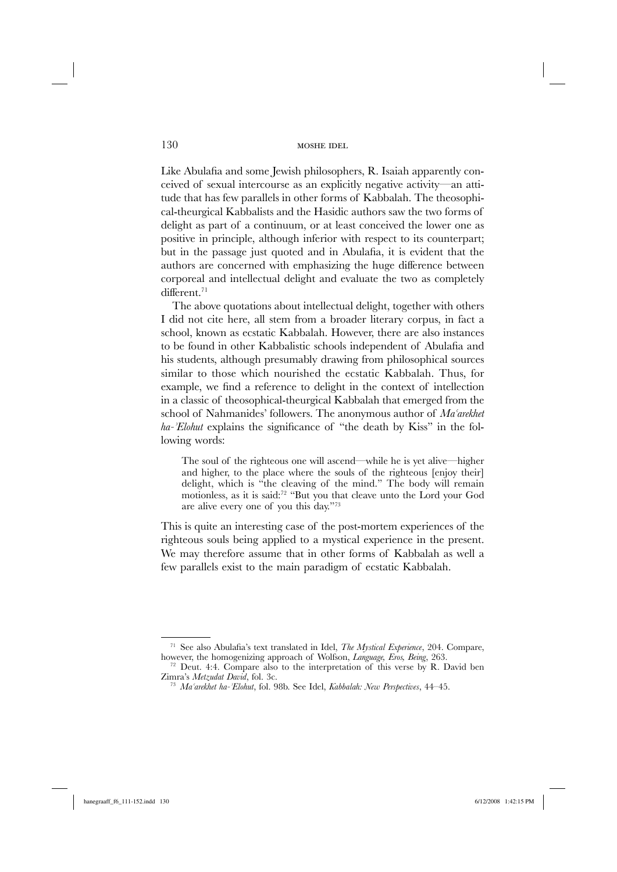## 130 moshe idea in the moshe idea in the moshe in the moshe in the moshe in the moshe in the moshe in the mosh

Like Abulafia and some Jewish philosophers, R. Isaiah apparently conceived of sexual intercourse as an explicitly negative activity—an attitude that has few parallels in other forms of Kabbalah. The theosophical-theurgical Kabbalists and the Hasidic authors saw the two forms of delight as part of a continuum, or at least conceived the lower one as positive in principle, although inferior with respect to its counterpart; but in the passage just quoted and in Abulafia, it is evident that the authors are concerned with emphasizing the huge difference between corporeal and intellectual delight and evaluate the two as completely different.<sup>71</sup>

The above quotations about intellectual delight, together with others I did not cite here, all stem from a broader literary corpus, in fact a school, known as ecstatic Kabbalah. However, there are also instances to be found in other Kabbalistic schools independent of Abulafia and his students, although presumably drawing from philosophical sources similar to those which nourished the ecstatic Kabbalah. Thus, for example, we find a reference to delight in the context of intellection in a classic of theosophical-theurgical Kabbalah that emerged from the school of Nahmanides' followers. The anonymous author of *Ma{arekhet ha-Elohut* explains the significance of "the death by Kiss" in the following words:

The soul of the righteous one will ascend—while he is yet alive—higher and higher, to the place where the souls of the righteous [enjoy their] delight, which is "the cleaving of the mind." The body will remain motionless, as it is said:72 "But you that cleave unto the Lord your God are alive every one of you this day."73

This is quite an interesting case of the post-mortem experiences of the righteous souls being applied to a mystical experience in the present. We may therefore assume that in other forms of Kabbalah as well a few parallels exist to the main paradigm of ecstatic Kabbalah.

<sup>&</sup>lt;sup>71</sup> See also Abulafia's text translated in Idel, *The Mystical Experience*, 204. Compare, however, the homogenizing approach of Wolfson, *Language, Eros, Being*, 263.

<sup>72</sup> Deut. 4:4. Compare also to the interpretation of this verse by R. David ben Zimra's *Metzudat David*, fol. 3c.

<sup>73</sup> *Ma{arekhet ha-xElohut*, fol. 98b. See Idel, *Kabbalah: New Perspectives*, 44–45.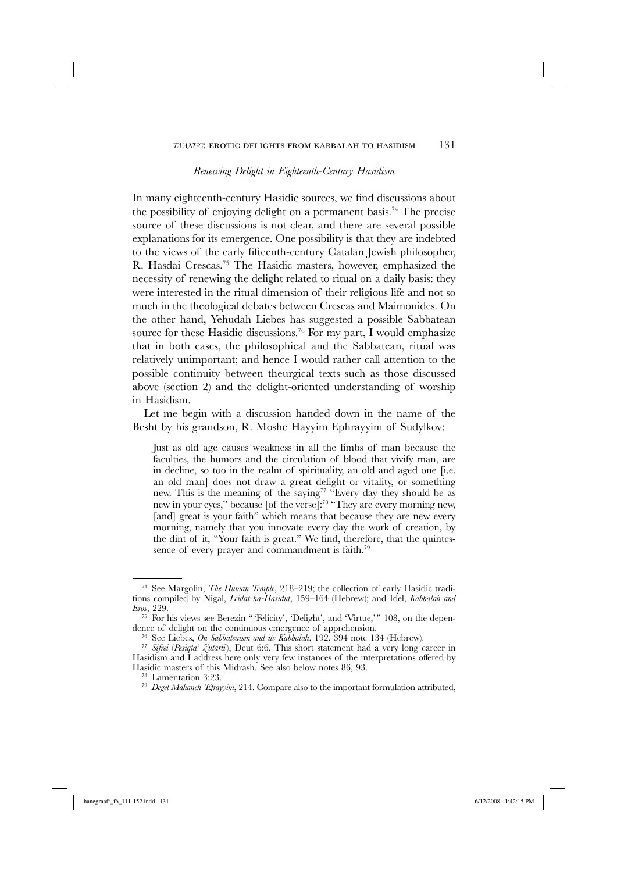#### *TA{ANUG*: erotic delights from kabbalah to hasidism 131

#### *Renewing Delight in Eighteenth-Century Hasidism*

In many eighteenth-century Hasidic sources, we find discussions about the possibility of enjoying delight on a permanent basis.74 The precise source of these discussions is not clear, and there are several possible explanations for its emergence. One possibility is that they are indebted to the views of the early fifteenth-century Catalan Jewish philosopher, R. Hasdai Crescas.75 The Hasidic masters, however, emphasized the necessity of renewing the delight related to ritual on a daily basis: they were interested in the ritual dimension of their religious life and not so much in the theological debates between Crescas and Maimonides. On the other hand, Yehudah Liebes has suggested a possible Sabbatean source for these Hasidic discussions.<sup>76</sup> For my part, I would emphasize that in both cases, the philosophical and the Sabbatean, ritual was relatively unimportant; and hence I would rather call attention to the possible continuity between theurgical texts such as those discussed above (section 2) and the delight-oriented understanding of worship in Hasidism.

Let me begin with a discussion handed down in the name of the Besht by his grandson, R. Moshe Hayyim Ephrayyim of Sudylkov:

Just as old age causes weakness in all the limbs of man because the faculties, the humors and the circulation of blood that vivify man, are in decline, so too in the realm of spirituality, an old and aged one [i.e. an old man] does not draw a great delight or vitality, or something new. This is the meaning of the saying<sup>77</sup> "Every day they should be as new in your eyes," because [of the verse]:78 "They are every morning new, [and] great is your faith" which means that because they are new every morning, namely that you innovate every day the work of creation, by the dint of it, "Your faith is great." We find, therefore, that the quintessence of every prayer and commandment is faith.<sup>79</sup>

<sup>74</sup> See Margolin, *The Human Temple*, 218–219; the collection of early Hasidic traditions compiled by Nigal, *Leidat ha-Hasidut*, 159–164 (Hebrew); and Idel, *Kabbalah and Eros*, 229.

 $75$  For his views see Berezin " 'Felicity', 'Delight', and 'Virtue,' " 108, on the dependence of delight on the continuous emergence of apprehension.

See Liebes, *On Sabbateaism and its Kabbalah*, 192, 394 note 134 (Hebrew).

<sup>77</sup> *Sifrei* (*Pesiqta' Zutarti* ), Deut 6:6. This short statement had a very long career in Hasidism and I address here only very few instances of the interpretations offered by Hasidic masters of this Midrash. See also below notes 86, 93.

<sup>78</sup> Lamentation 3:23.

<sup>79</sup> *Degel Mahaneh xEfrayyim*, 214. Compare also to the important formulation attributed,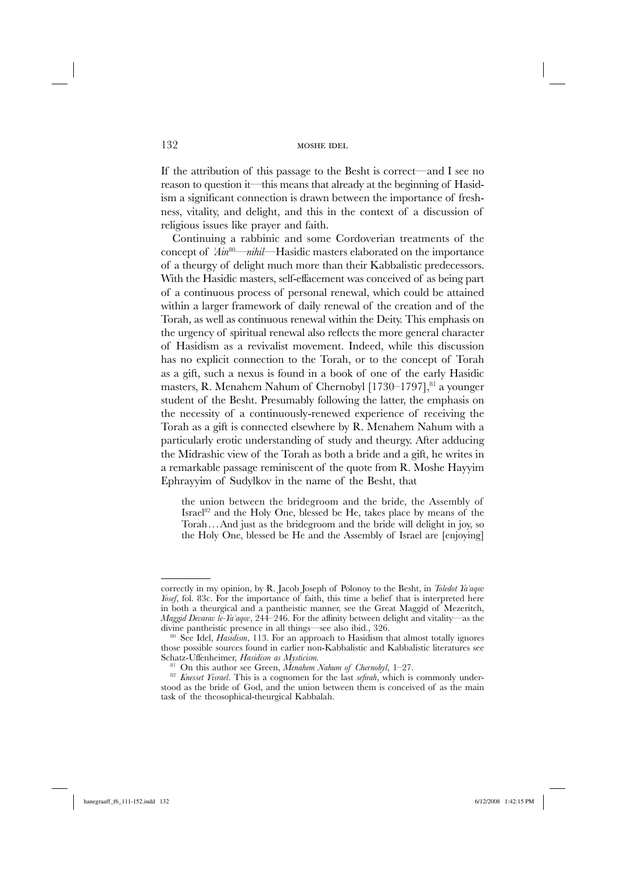If the attribution of this passage to the Besht is correct—and I see no reason to question it—this means that already at the beginning of Hasidism a significant connection is drawn between the importance of freshness, vitality, and delight, and this in the context of a discussion of religious issues like prayer and faith.

Continuing a rabbinic and some Cordoverian treatments of the concept of *'Ain*<sup>80</sup>—nihil—Hasidic masters elaborated on the importance of a theurgy of delight much more than their Kabbalistic predecessors. With the Hasidic masters, self-effacement was conceived of as being part of a continuous process of personal renewal, which could be attained within a larger framework of daily renewal of the creation and of the Torah, as well as continuous renewal within the Deity. This emphasis on the urgency of spiritual renewal also reflects the more general character of Hasidism as a revivalist movement. Indeed, while this discussion has no explicit connection to the Torah, or to the concept of Torah as a gift, such a nexus is found in a book of one of the early Hasidic masters, R. Menahem Nahum of Chernobyl  $[1730-1797]$ ,<sup>81</sup> a younger student of the Besht. Presumably following the latter, the emphasis on the necessity of a continuously-renewed experience of receiving the Torah as a gift is connected elsewhere by R. Menahem Nahum with a particularly erotic understanding of study and theurgy. After adducing the Midrashic view of the Torah as both a bride and a gift, he writes in a remarkable passage reminiscent of the quote from R. Moshe Hayyim Ephrayyim of Sudylkov in the name of the Besht, that

the union between the bridegroom and the bride, the Assembly of Israel<sup>82</sup> and the Holy One, blessed be He, takes place by means of the Torah . . . And just as the bridegroom and the bride will delight in joy, so the Holy One, blessed be He and the Assembly of Israel are [enjoying]

correctly in my opinion, by R. Jacob Joseph of Polonoy to the Besht, in *Toledot Ya{aqov Yosef*, fol. 83c. For the importance of faith, this time a belief that is interpreted here in both a theurgical and a pantheistic manner, see the Great Maggid of Mezeritch, *Maggid Devarav le-Ya'aqov*, 244–246. For the affinity between delight and vitality—as the divine pantheistic presence in all things—see also ibid., 326.

See Idel, *Hasidism*, 113. For an approach to Hasidism that almost totally ignores those possible sources found in earlier non-Kabbalistic and Kabbalistic literatures see Schatz-Uffenheimer, *Hasidism as Mysticism.*

<sup>81</sup> On this author see Green, *Menahem Nahum of Chernobyl*, 1–27.

<sup>&</sup>lt;sup>82</sup> *Knesset Yisrael*. This is a cognomen for the last *sefirah*, which is commonly understood as the bride of God, and the union between them is conceived of as the main task of the theosophical-theurgical Kabbalah.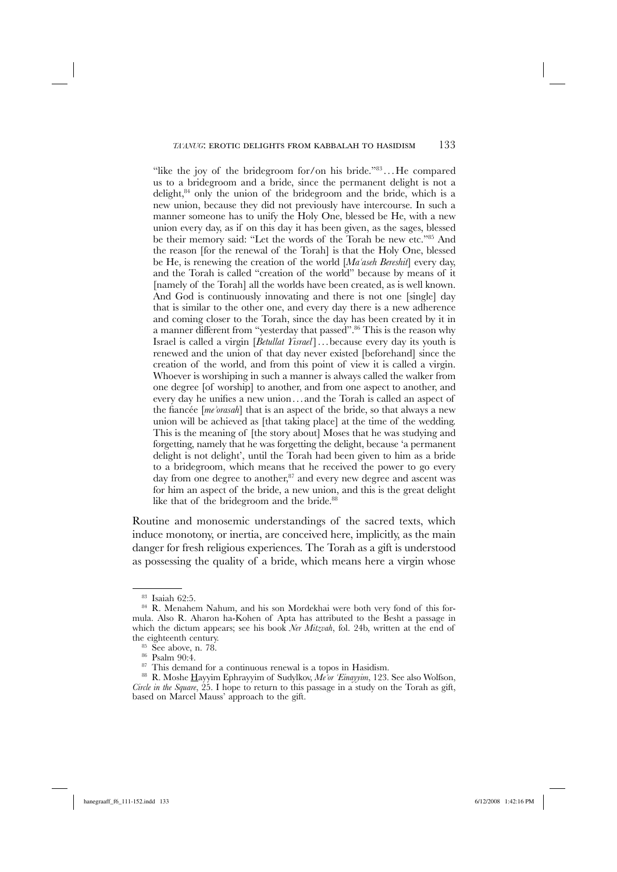"like the joy of the bridegroom for/on his bride."<sup>83</sup>...He compared us to a bridegroom and a bride, since the permanent delight is not a delight, $84$  only the union of the bridegroom and the bride, which is a new union, because they did not previously have intercourse. In such a manner someone has to unify the Holy One, blessed be He, with a new union every day, as if on this day it has been given, as the sages, blessed be their memory said: "Let the words of the Torah be new etc."85 And the reason [for the renewal of the Torah] is that the Holy One, blessed be He, is renewing the creation of the world [*Ma{aseh Bereshit*] every day, and the Torah is called "creation of the world" because by means of it [namely of the Torah] all the worlds have been created, as is well known. And God is continuously innovating and there is not one [single] day that is similar to the other one, and every day there is a new adherence and coming closer to the Torah, since the day has been created by it in a manner different from "yesterday that passed".86 This is the reason why Israel is called a virgin [*Betullat Yisrael* ] . . . because every day its youth is renewed and the union of that day never existed [beforehand] since the creation of the world, and from this point of view it is called a virgin. Whoever is worshiping in such a manner is always called the walker from one degree [of worship] to another, and from one aspect to another, and every day he unifies a new union...and the Torah is called an aspect of the fiancée [*me*<sup>*orasah*] that is an aspect of the bride, so that always a new</sup> union will be achieved as [that taking place] at the time of the wedding. This is the meaning of [the story about] Moses that he was studying and forgetting, namely that he was forgetting the delight, because 'a permanent delight is not delight', until the Torah had been given to him as a bride to a bridegroom, which means that he received the power to go every day from one degree to another,<sup>87</sup> and every new degree and ascent was for him an aspect of the bride, a new union, and this is the great delight like that of the bridegroom and the bride.<sup>88</sup>

Routine and monosemic understandings of the sacred texts, which induce monotony, or inertia, are conceived here, implicitly, as the main danger for fresh religious experiences. The Torah as a gift is understood as possessing the quality of a bride, which means here a virgin whose

<sup>83</sup> Isaiah 62:5.

<sup>&</sup>lt;sup>84</sup> R. Menahem Nahum, and his son Mordekhai were both very fond of this formula. Also R. Aharon ha-Kohen of Apta has attributed to the Besht a passage in which the dictum appears; see his book *Ner Mitzvah*, fol. 24b, written at the end of the eighteenth century.

 $85$  See above, n. 78.

<sup>86</sup> Psalm 90:4.

<sup>&</sup>lt;sup>87</sup> This demand for a continuous renewal is a topos in Hasidism.

<sup>&</sup>lt;sup>88</sup> R. Moshe Hayyim Ephrayyim of Sudylkov, *Me*<sup>2</sup>*or Einayyim*, 123. See also Wolfson, *Circle in the Square*, 25. I hope to return to this passage in a study on the Torah as gift, based on Marcel Mauss' approach to the gift.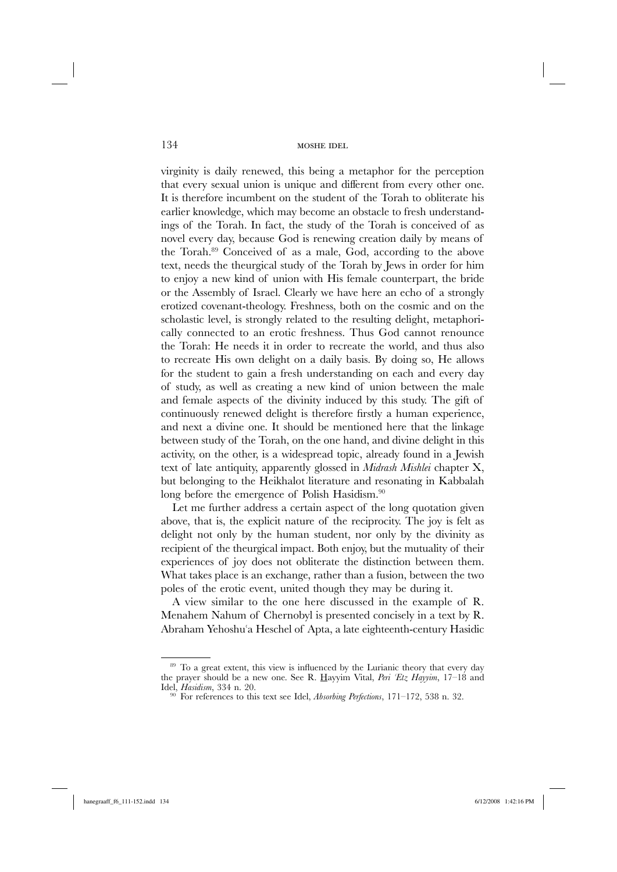# 134 moshe idea in the moshe in the moshe in the moshe

virginity is daily renewed, this being a metaphor for the perception that every sexual union is unique and different from every other one. It is therefore incumbent on the student of the Torah to obliterate his earlier knowledge, which may become an obstacle to fresh understandings of the Torah. In fact, the study of the Torah is conceived of as novel every day, because God is renewing creation daily by means of the Torah.89 Conceived of as a male, God, according to the above text, needs the theurgical study of the Torah by Jews in order for him to enjoy a new kind of union with His female counterpart, the bride or the Assembly of Israel. Clearly we have here an echo of a strongly erotized covenant-theology. Freshness, both on the cosmic and on the scholastic level, is strongly related to the resulting delight, metaphorically connected to an erotic freshness. Thus God cannot renounce the Torah: He needs it in order to recreate the world, and thus also to recreate His own delight on a daily basis. By doing so, He allows for the student to gain a fresh understanding on each and every day of study, as well as creating a new kind of union between the male and female aspects of the divinity induced by this study. The gift of continuously renewed delight is therefore firstly a human experience, and next a divine one. It should be mentioned here that the linkage between study of the Torah, on the one hand, and divine delight in this activity, on the other, is a widespread topic, already found in a Jewish text of late antiquity, apparently glossed in *Midrash Mishlei* chapter X, but belonging to the Heikhalot literature and resonating in Kabbalah long before the emergence of Polish Hasidism.<sup>90</sup>

Let me further address a certain aspect of the long quotation given above, that is, the explicit nature of the reciprocity. The joy is felt as delight not only by the human student, nor only by the divinity as recipient of the theurgical impact. Both enjoy, but the mutuality of their experiences of joy does not obliterate the distinction between them. What takes place is an exchange, rather than a fusion, between the two poles of the erotic event, united though they may be during it.

A view similar to the one here discussed in the example of R. Menahem Nahum of Chernobyl is presented concisely in a text by R. Abraham Yehoshu{a Heschel of Apta, a late eighteenth-century Hasidic

<sup>&</sup>lt;sup>89</sup> To a great extent, this view is influenced by the Lurianic theory that every day the prayer should be a new one. See R. Hayyim Vital, *Peri {Etz Hayyim*, 17–18 and Idel, *Hasidism*, 334 n. 20.

<sup>90</sup> For references to this text see Idel, *Absorbing Perfections*, 171–172, 538 n. 32.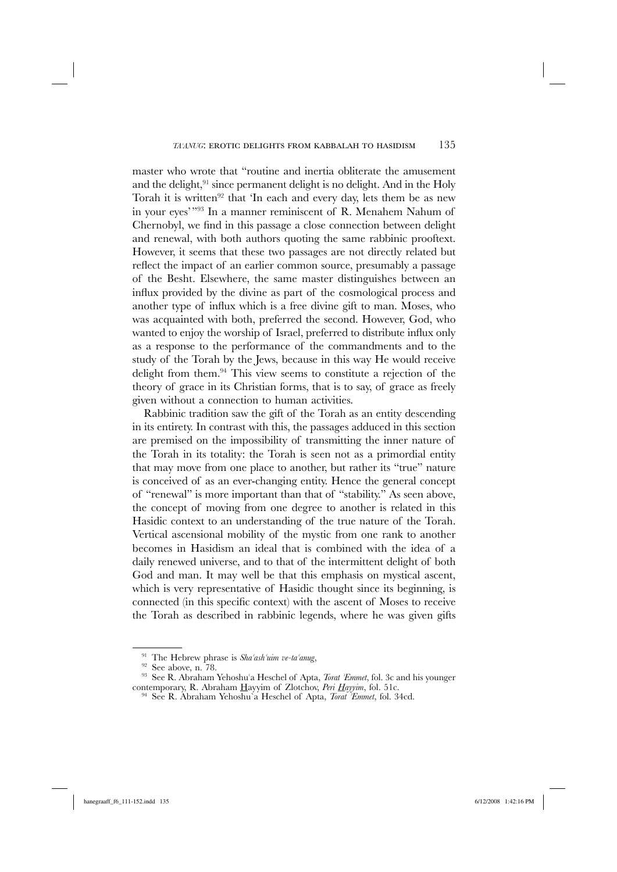master who wrote that "routine and inertia obliterate the amusement and the delight,<sup>91</sup> since permanent delight is no delight. And in the Holy Torah it is written<sup>92</sup> that 'In each and every day, lets them be as new in your eyes' "93 In a manner reminiscent of R. Menahem Nahum of Chernobyl, we find in this passage a close connection between delight and renewal, with both authors quoting the same rabbinic prooftext. However, it seems that these two passages are not directly related but reflect the impact of an earlier common source, presumably a passage of the Besht. Elsewhere, the same master distinguishes between an influx provided by the divine as part of the cosmological process and another type of influx which is a free divine gift to man. Moses, who was acquainted with both, preferred the second. However, God, who wanted to enjoy the worship of Israel, preferred to distribute influx only as a response to the performance of the commandments and to the study of the Torah by the Jews, because in this way He would receive delight from them.94 This view seems to constitute a rejection of the theory of grace in its Christian forms, that is to say, of grace as freely given without a connection to human activities.

Rabbinic tradition saw the gift of the Torah as an entity descending in its entirety. In contrast with this, the passages adduced in this section are premised on the impossibility of transmitting the inner nature of the Torah in its totality: the Torah is seen not as a primordial entity that may move from one place to another, but rather its "true" nature is conceived of as an ever-changing entity. Hence the general concept of "renewal" is more important than that of "stability." As seen above, the concept of moving from one degree to another is related in this Hasidic context to an understanding of the true nature of the Torah. Vertical ascensional mobility of the mystic from one rank to another becomes in Hasidism an ideal that is combined with the idea of a daily renewed universe, and to that of the intermittent delight of both God and man. It may well be that this emphasis on mystical ascent, which is very representative of Hasidic thought since its beginning, is connected (in this specific context) with the ascent of Moses to receive the Torah as described in rabbinic legends, where he was given gifts

<sup>91</sup> The Hebrew phrase is *Sha{ash{uim ve-ta{anug*, 92 See above, n. 78.

<sup>&</sup>lt;sup>93</sup> See R. Abraham Yehoshu'a Heschel of Apta, *Torat 'Emmet*, fol. 3c and his younger contemporary, R. Abraham *Hayyim* of Zlotchov, *Peri Hayyim*, fol. 51c.

<sup>94</sup> See R. Abraham Yehoshu`a Heschel of Apta, *Torat xEmmet*, fol. 34cd.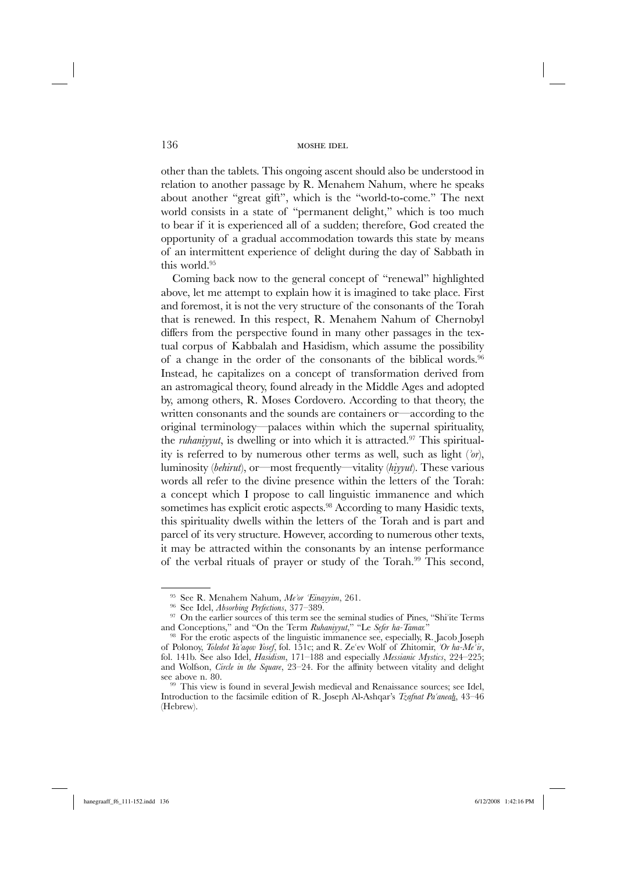## 136 moshe idea in the moshe idea in the moshe in the moshe in the moshe in the moshe in the moshe in the mosh

other than the tablets. This ongoing ascent should also be understood in relation to another passage by R. Menahem Nahum, where he speaks about another "great gift", which is the "world-to-come." The next world consists in a state of "permanent delight," which is too much to bear if it is experienced all of a sudden; therefore, God created the opportunity of a gradual accommodation towards this state by means of an intermittent experience of delight during the day of Sabbath in this world.95

Coming back now to the general concept of "renewal" highlighted above, let me attempt to explain how it is imagined to take place. First and foremost, it is not the very structure of the consonants of the Torah that is renewed. In this respect, R. Menahem Nahum of Chernobyl differs from the perspective found in many other passages in the textual corpus of Kabbalah and Hasidism, which assume the possibility of a change in the order of the consonants of the biblical words.96 Instead, he capitalizes on a concept of transformation derived from an astromagical theory, found already in the Middle Ages and adopted by, among others, R. Moses Cordovero. According to that theory, the written consonants and the sounds are containers or—according to the original terminology—palaces within which the supernal spirituality, the *ruhaniyyut*, is dwelling or into which it is attracted.<sup>97</sup> This spirituality is referred to by numerous other terms as well, such as light  $('or)$ , luminosity (*behirut*), or—most frequently—vitality (*hiyyut*). These various words all refer to the divine presence within the letters of the Torah: a concept which I propose to call linguistic immanence and which sometimes has explicit erotic aspects.<sup>98</sup> According to many Hasidic texts, this spirituality dwells within the letters of the Torah and is part and parcel of its very structure. However, according to numerous other texts, it may be attracted within the consonants by an intense performance of the verbal rituals of prayer or study of the Torah.<sup>99</sup> This second,

<sup>&</sup>lt;sup>95</sup> See R. Menahem Nahum, *Me'or 'Einayyim*, 261.

<sup>96</sup> See Idel, *Absorbing Perfections*, 377–389.

<sup>&</sup>lt;sup>97</sup> On the earlier sources of this term see the seminal studies of Pines, "Shi'ite Terms and Conceptions," and "On the Term *Ruhaniyyut*," "Le *Sefer ha-Tamar.*"

<sup>&</sup>lt;sup>98</sup> For the erotic aspects of the linguistic immanence see, especially, R. Jacob Joseph of Polonoy, *Toledot Ya'aqov Yosef*, fol. 151c; and R. Ze'ev Wolf of Zhitomir, *'Or ha-Me'ir*, fol. 141b. See also Idel, *Hasidism*, 171–188 and especially *Messianic Mystics*, 224–225; and Wolfson, *Circle in the Square*, 23-24. For the affinity between vitality and delight see above n. 80.

<sup>&</sup>lt;sup>99</sup> This view is found in several Jewish medieval and Renaissance sources; see Idel, Introduction to the facsimile edition of R. Joseph Al-Ashqar's *Tzafnat Pa{aneah*, 43–46 (Hebrew).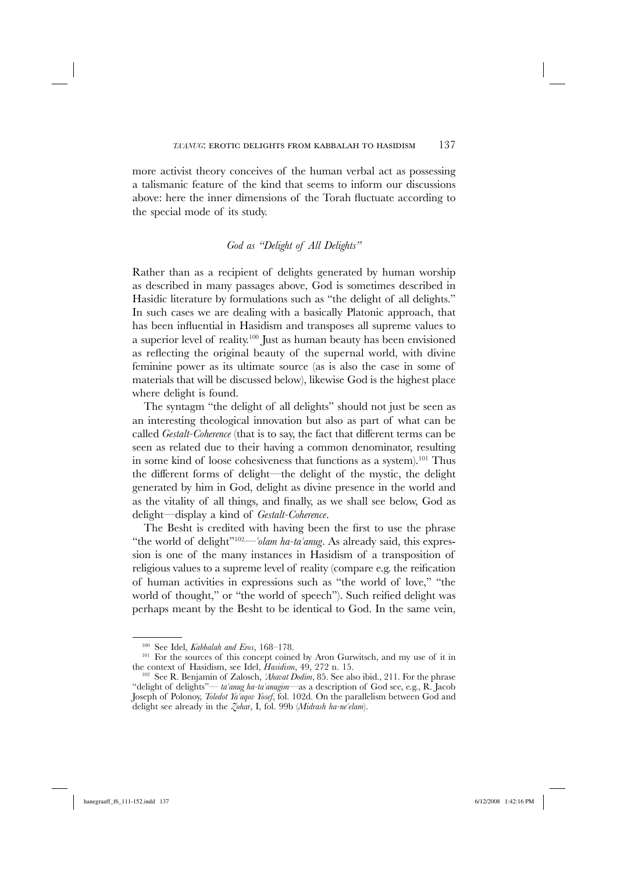more activist theory conceives of the human verbal act as possessing a talismanic feature of the kind that seems to inform our discussions above: here the inner dimensions of the Torah fluctuate according to the special mode of its study.

# *God as "Delight of All Delights"*

Rather than as a recipient of delights generated by human worship as described in many passages above, God is sometimes described in Hasidic literature by formulations such as "the delight of all delights." In such cases we are dealing with a basically Platonic approach, that has been influential in Hasidism and transposes all supreme values to a superior level of reality.100 Just as human beauty has been envisioned as reflecting the original beauty of the supernal world, with divine feminine power as its ultimate source (as is also the case in some of materials that will be discussed below), likewise God is the highest place where delight is found.

The syntagm "the delight of all delights" should not just be seen as an interesting theological innovation but also as part of what can be called *Gestalt-Coherence* (that is to say, the fact that different terms can be seen as related due to their having a common denominator, resulting in some kind of loose cohesiveness that functions as a system).<sup>101</sup> Thus the different forms of delight—the delight of the mystic, the delight generated by him in God, delight as divine presence in the world and as the vitality of all things, and finally, as we shall see below, God as delight—display a kind of *Gestalt-Coherence*.

The Besht is credited with having been the first to use the phrase "the world of delight"<sup>102</sup>—*{blam ha-ta{anug*. As already said, this expression is one of the many instances in Hasidism of a transposition of religious values to a supreme level of reality (compare e.g. the reification of human activities in expressions such as "the world of love," "the world of thought," or "the world of speech"). Such reified delight was perhaps meant by the Besht to be identical to God. In the same vein,

<sup>100</sup> See Idel, *Kabbalah and Eros*, 168–178.

<sup>&</sup>lt;sup>101</sup> For the sources of this concept coined by Aron Gurwitsch, and my use of it in the context of Hasidism, see Idel, *Hasidism*, 49, 272 n. 15.

<sup>102</sup> See R. Benjamin of Zalosch, *xAhavat Dodim*, 85. See also ibid., 211. For the phrase "delight of delights"— *ta{anug ha-ta{anugim*—as a description of God see, e.g., R. Jacob Joseph of Polonoy, *Toledot Ya{aqov Yosef*, fol. 102d. On the parallelism between God and delight see already in the *Zohar*, I, fol. 99b (*Midrash ha-ne{elam*).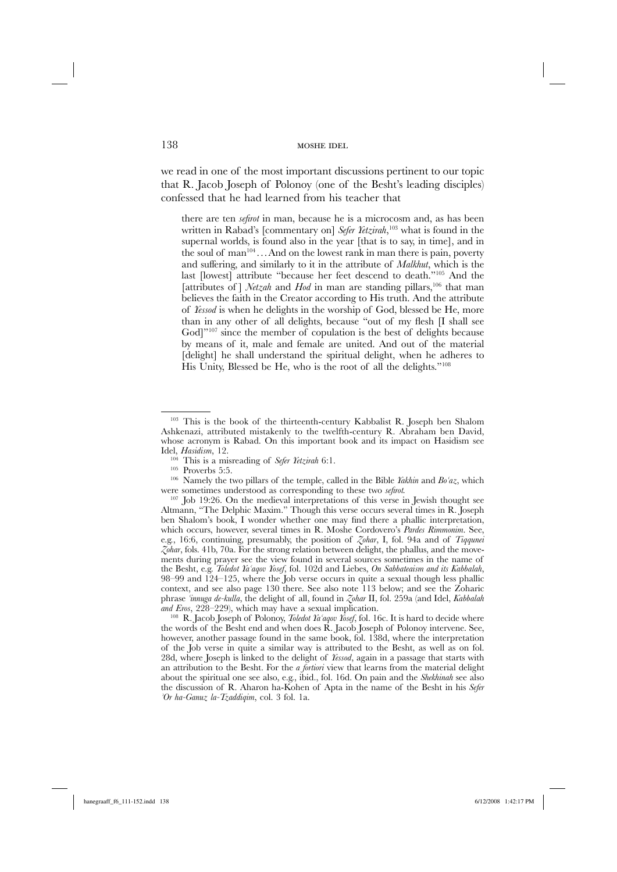## 138 moshe idea in the moshe idea in the moshe in the moshe in the moshe in the moshe in the moshe in the mosh

we read in one of the most important discussions pertinent to our topic that R. Jacob Joseph of Polonoy (one of the Besht's leading disciples) confessed that he had learned from his teacher that

there are ten *sefirot* in man, because he is a microcosm and, as has been written in Rabad's [commentary on] *Sefer Yetzirah*, 103 what is found in the supernal worlds, is found also in the year [that is to say, in time], and in the soul of man<sup> $104$ </sup>... And on the lowest rank in man there is pain, poverty and suffering, and similarly to it in the attribute of *Malkhut*, which is the last [lowest] attribute "because her feet descend to death."105 And the [attributes of ] *Netzah* and *Hod* in man are standing pillars,<sup>106</sup> that man believes the faith in the Creator according to His truth. And the attribute of *Yessod* is when he delights in the worship of God, blessed be He, more than in any other of all delights, because "out of my flesh [I shall see God]"<sup>107</sup> since the member of copulation is the best of delights because by means of it, male and female are united. And out of the material [delight] he shall understand the spiritual delight, when he adheres to His Unity, Blessed be He, who is the root of all the delights."108

<sup>103</sup> This is the book of the thirteenth-century Kabbalist R. Joseph ben Shalom Ashkenazi, attributed mistakenly to the twelfth-century R. Abraham ben David, whose acronym is Rabad. On this important book and its impact on Hasidism see Idel, *Hasidism*, 12.

<sup>104</sup> This is a misreading of *Sefer Yetzirah* 6:1.

<sup>&</sup>lt;sup>105</sup> Proverbs 5:5.

<sup>&</sup>lt;sup>106</sup> Namely the two pillars of the temple, called in the Bible *Yakhin* and  $Bo'az$ , which were sometimes understood as corresponding to these two *sefirot*.

<sup>107</sup> Job 19:26. On the medieval interpretations of this verse in Jewish thought see Altmann, "The Delphic Maxim." Though this verse occurs several times in R. Joseph ben Shalom's book, I wonder whether one may find there a phallic interpretation, which occurs, however, several times in R. Moshe Cordovero's *Pardes Rimmonim*. See, e.g., 16:6, continuing, presumably, the position of *Zohar*, I, fol. 94a and of *Tiqqunei Zohar*, fols. 41b, 70a. For the strong relation between delight, the phallus, and the movements during prayer see the view found in several sources sometimes in the name of the Besht, e.g. *Toledot Ya{aqov Yosef*, fol. 102d and Liebes, *On Sabbateaism and its Kabbalah*, 98–99 and 124–125, where the Job verse occurs in quite a sexual though less phallic context, and see also page 130 there. See also note 113 below; and see the Zoharic phrase *{innuga de-kulla*, the delight of all, found in *Zohar* II, fol. 259a (and Idel, *Kabbalah and Eros*, 228–229), which may have a sexual implication.

<sup>&</sup>lt;sup>108</sup> R. Jacob Joseph of Polonoy, *Toledot Ya'aqov Yosef*, fol. 16c. It is hard to decide where the words of the Besht end and when does R. Jacob Joseph of Polonoy intervene. See, however, another passage found in the same book, fol. 138d, where the interpretation of the Job verse in quite a similar way is attributed to the Besht, as well as on fol. 28d, where Joseph is linked to the delight of *Yessod*, again in a passage that starts with an attribution to the Besht. For the *a fortiori* view that learns from the material delight about the spiritual one see also, e.g., ibid., fol. 16d. On pain and the *Shekhinah* see also the discussion of R. Aharon ha-Kohen of Apta in the name of the Besht in his *Sefer xOr ha-Ganuz la-Tzaddiqim*, col. 3 fol. 1a.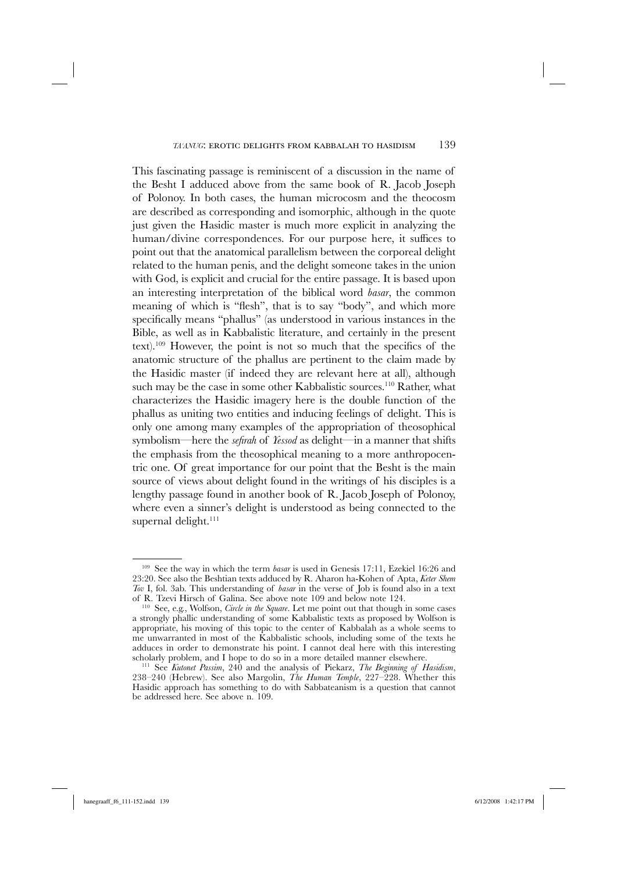This fascinating passage is reminiscent of a discussion in the name of the Besht I adduced above from the same book of R. Jacob Joseph of Polonoy. In both cases, the human microcosm and the theocosm are described as corresponding and isomorphic, although in the quote just given the Hasidic master is much more explicit in analyzing the human/divine correspondences. For our purpose here, it suffices to point out that the anatomical parallelism between the corporeal delight related to the human penis, and the delight someone takes in the union with God, is explicit and crucial for the entire passage. It is based upon an interesting interpretation of the biblical word *basar*, the common meaning of which is "flesh", that is to say "body", and which more specifically means "phallus" (as understood in various instances in the Bible, as well as in Kabbalistic literature, and certainly in the present text).<sup>109</sup> However, the point is not so much that the specifics of the anatomic structure of the phallus are pertinent to the claim made by the Hasidic master (if indeed they are relevant here at all), although such may be the case in some other Kabbalistic sources.<sup>110</sup> Rather, what characterizes the Hasidic imagery here is the double function of the phallus as uniting two entities and inducing feelings of delight. This is only one among many examples of the appropriation of theosophical symbolism—here the *sefirah* of *Yessod* as delight—in a manner that shifts the emphasis from the theosophical meaning to a more anthropocentric one. Of great importance for our point that the Besht is the main source of views about delight found in the writings of his disciples is a lengthy passage found in another book of R. Jacob Joseph of Polonoy, where even a sinner's delight is understood as being connected to the supernal delight.<sup>111</sup>

<sup>109</sup> See the way in which the term *basar* is used in Genesis 17:11, Ezekiel 16:26 and 23:20. See also the Beshtian texts adduced by R. Aharon ha-Kohen of Apta, *Keter Shem Tov* I, fol. 3ab. This understanding of *basar* in the verse of Job is found also in a text of R. Tzevi Hirsch of Galina. See above note 109 and below note 124.

<sup>110</sup> See, e.g., Wolfson, *Circle in the Square*. Let me point out that though in some cases a strongly phallic understanding of some Kabbalistic texts as proposed by Wolfson is appropriate, his moving of this topic to the center of Kabbalah as a whole seems to me unwarranted in most of the Kabbalistic schools, including some of the texts he adduces in order to demonstrate his point. I cannot deal here with this interesting scholarly problem, and I hope to do so in a more detailed manner elsewhere.

<sup>&</sup>lt;sup>111</sup> See Kutonet Passim, 240 and the analysis of Piekarz, *The Beginning of Hasidism*, 238–240 (Hebrew). See also Margolin, *The Human Temple*, 227–228. Whether this Hasidic approach has something to do with Sabbateanism is a question that cannot be addressed here. See above n. 109.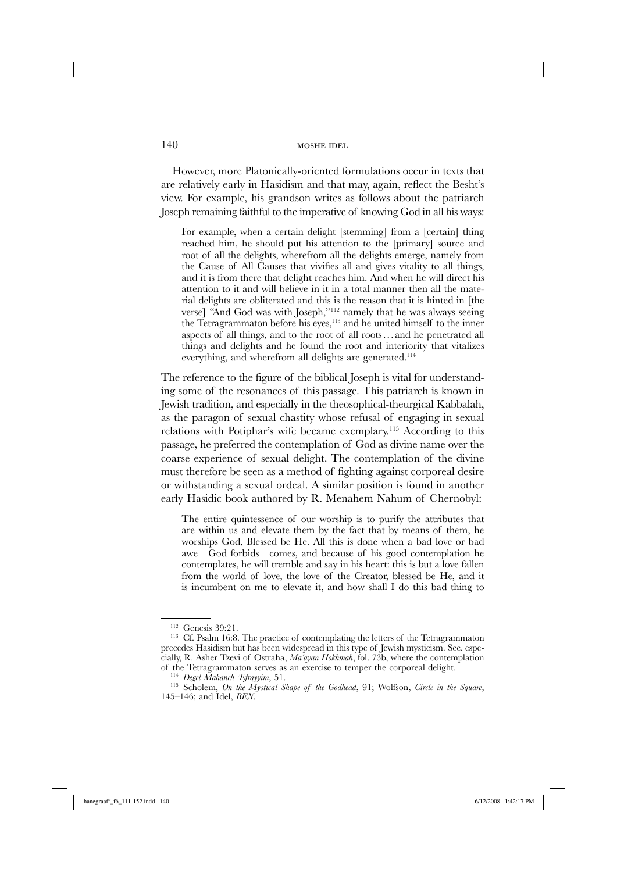However, more Platonically-oriented formulations occur in texts that are relatively early in Hasidism and that may, again, reflect the Besht's view. For example, his grandson writes as follows about the patriarch Joseph remaining faithful to the imperative of knowing God in all his ways:

For example, when a certain delight [stemming] from a [certain] thing reached him, he should put his attention to the [primary] source and root of all the delights, wherefrom all the delights emerge, namely from the Cause of All Causes that vivifies all and gives vitality to all things, and it is from there that delight reaches him. And when he will direct his attention to it and will believe in it in a total manner then all the material delights are obliterated and this is the reason that it is hinted in [the verse] "And God was with Joseph,"112 namely that he was always seeing the Tetragrammaton before his eyes,113 and he united himself to the inner aspects of all things, and to the root of all roots . . . and he penetrated all things and delights and he found the root and interiority that vitalizes everything, and wherefrom all delights are generated.<sup>114</sup>

The reference to the figure of the biblical Joseph is vital for understanding some of the resonances of this passage. This patriarch is known in Jewish tradition, and especially in the theosophical-theurgical Kabbalah, as the paragon of sexual chastity whose refusal of engaging in sexual relations with Potiphar's wife became exemplary.115 According to this passage, he preferred the contemplation of God as divine name over the coarse experience of sexual delight. The contemplation of the divine must therefore be seen as a method of fighting against corporeal desire or withstanding a sexual ordeal. A similar position is found in another early Hasidic book authored by R. Menahem Nahum of Chernobyl:

The entire quintessence of our worship is to purify the attributes that are within us and elevate them by the fact that by means of them, he worships God, Blessed be He. All this is done when a bad love or bad awe—God forbids—comes, and because of his good contemplation he contemplates, he will tremble and say in his heart: this is but a love fallen from the world of love, the love of the Creator, blessed be He, and it is incumbent on me to elevate it, and how shall I do this bad thing to

<sup>112</sup> Genesis 39:21.

<sup>&</sup>lt;sup>113</sup> Cf. Psalm 16:8. The practice of contemplating the letters of the Tetragrammaton precedes Hasidism but has been widespread in this type of Jewish mysticism. See, especially, R. Asher Tzevi of Ostraha, *Ma{ayan Hokhmah*, fol. 73b, where the contemplation of the Tetragrammaton serves as an exercise to temper the corporeal delight.

<sup>114</sup> *Degel Mahaneh xEfrayyim*, 51.

<sup>115</sup> Scholem, *On the Mystical Shape of the Godhead*, 91; Wolfson, *Circle in the Square*, 145–146; and Idel, *BEN*.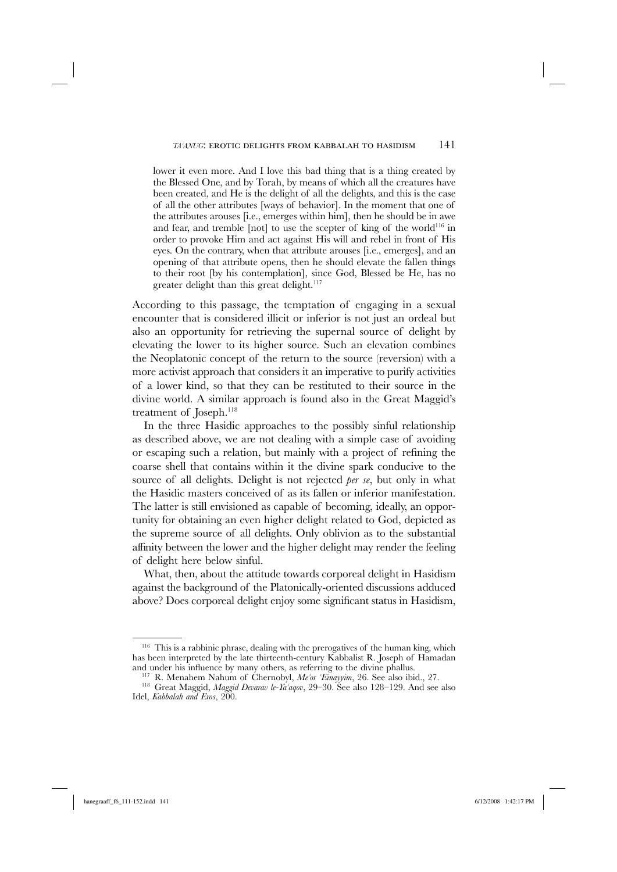lower it even more. And I love this bad thing that is a thing created by the Blessed One, and by Torah, by means of which all the creatures have been created, and He is the delight of all the delights, and this is the case of all the other attributes [ways of behavior]. In the moment that one of the attributes arouses [i.e., emerges within him], then he should be in awe and fear, and tremble  $[not]$  to use the scepter of king of the world<sup>116</sup> in order to provoke Him and act against His will and rebel in front of His eyes. On the contrary, when that attribute arouses [i.e., emerges], and an opening of that attribute opens, then he should elevate the fallen things to their root [by his contemplation], since God, Blessed be He, has no greater delight than this great delight.<sup>117</sup>

According to this passage, the temptation of engaging in a sexual encounter that is considered illicit or inferior is not just an ordeal but also an opportunity for retrieving the supernal source of delight by elevating the lower to its higher source. Such an elevation combines the Neoplatonic concept of the return to the source (reversion) with a more activist approach that considers it an imperative to purify activities of a lower kind, so that they can be restituted to their source in the divine world. A similar approach is found also in the Great Maggid's treatment of Joseph.<sup>118</sup>

In the three Hasidic approaches to the possibly sinful relationship as described above, we are not dealing with a simple case of avoiding or escaping such a relation, but mainly with a project of refining the coarse shell that contains within it the divine spark conducive to the source of all delights. Delight is not rejected *per se*, but only in what the Hasidic masters conceived of as its fallen or inferior manifestation. The latter is still envisioned as capable of becoming, ideally, an opportunity for obtaining an even higher delight related to God, depicted as the supreme source of all delights. Only oblivion as to the substantial affinity between the lower and the higher delight may render the feeling of delight here below sinful.

What, then, about the attitude towards corporeal delight in Hasidism against the background of the Platonically-oriented discussions adduced above? Does corporeal delight enjoy some significant status in Hasidism,

hanegraaff\_f6\_111-152.indd 141 6/12/2008 1:42:17 PM 6/12/2008 1:42:17 PM

<sup>116</sup> This is a rabbinic phrase, dealing with the prerogatives of the human king, which has been interpreted by the late thirteenth-century Kabbalist R. Joseph of Hamadan and under his influence by many others, as referring to the divine phallus.

<sup>117</sup> R. Menahem Nahum of Chernobyl, *Mexor {Einayyim*, 26. See also ibid., 27.

<sup>118</sup> Great Maggid, *Maggid Devarav le-Ya{aqov*, 29–30. See also 128–129. And see also Idel, *Kabbalah and Eros*, 200.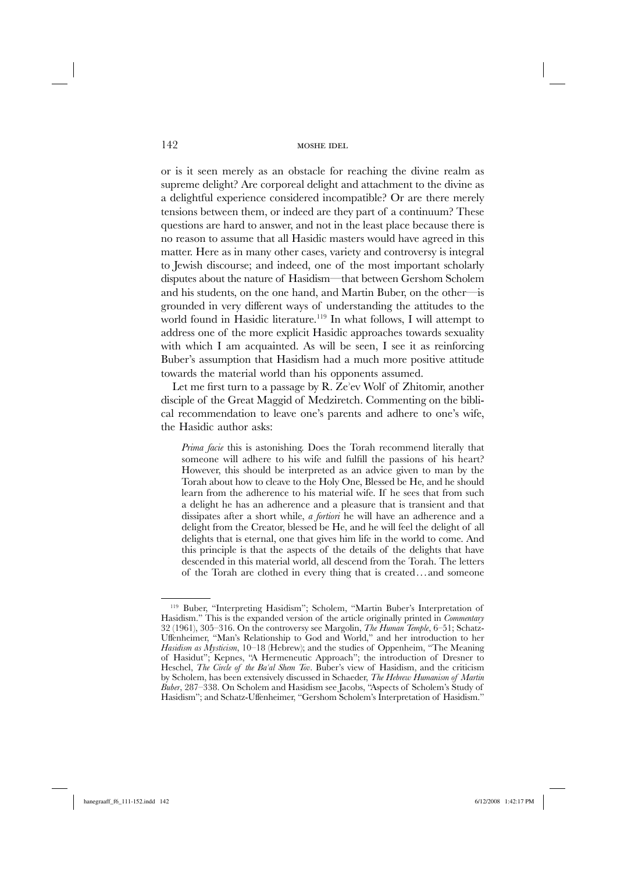or is it seen merely as an obstacle for reaching the divine realm as supreme delight? Are corporeal delight and attachment to the divine as a delightful experience considered incompatible? Or are there merely tensions between them, or indeed are they part of a continuum? These questions are hard to answer, and not in the least place because there is no reason to assume that all Hasidic masters would have agreed in this matter. Here as in many other cases, variety and controversy is integral to Jewish discourse; and indeed, one of the most important scholarly disputes about the nature of Hasidism—that between Gershom Scholem and his students, on the one hand, and Martin Buber, on the other—is grounded in very different ways of understanding the attitudes to the world found in Hasidic literature.<sup>119</sup> In what follows, I will attempt to address one of the more explicit Hasidic approaches towards sexuality with which I am acquainted. As will be seen, I see it as reinforcing Buber's assumption that Hasidism had a much more positive attitude towards the material world than his opponents assumed.

Let me first turn to a passage by R. Ze'ev Wolf of Zhitomir, another disciple of the Great Maggid of Medziretch. Commenting on the biblical recommendation to leave one's parents and adhere to one's wife, the Hasidic author asks:

*Prima facie* this is astonishing. Does the Torah recommend literally that someone will adhere to his wife and fulfill the passions of his heart? However, this should be interpreted as an advice given to man by the Torah about how to cleave to the Holy One, Blessed be He, and he should learn from the adherence to his material wife. If he sees that from such a delight he has an adherence and a pleasure that is transient and that dissipates after a short while, *a fortiori* he will have an adherence and a delight from the Creator, blessed be He, and he will feel the delight of all delights that is eternal, one that gives him life in the world to come. And this principle is that the aspects of the details of the delights that have descended in this material world, all descend from the Torah. The letters of the Torah are clothed in every thing that is created . . . and someone

<sup>119</sup> Buber, "Interpreting Hasidism"; Scholem, "Martin Buber's Interpretation of Hasidism." This is the expanded version of the article originally printed in *Commentary* 32 (1961), 305–316. On the controversy see Margolin, *The Human Temple*, 6–51; Schatz-Uffenheimer, "Man's Relationship to God and World," and her introduction to her *Hasidism as Mysticism*, 10–18 (Hebrew); and the studies of Oppenheim, "The Meaning of Hasidut"; Kepnes, "A Hermeneutic Approach"; the introduction of Dresner to Heschel, *The Circle of the Ba{al Shem Tov*. Buber's view of Hasidism, and the criticism by Scholem, has been extensively discussed in Schaeder, *The Hebrew Humanism of Martin Buber*, 287–338. On Scholem and Hasidism see Jacobs, "Aspects of Scholem's Study of Hasidism"; and Schatz-Uffenheimer, "Gershom Scholem's Interpretation of Hasidism."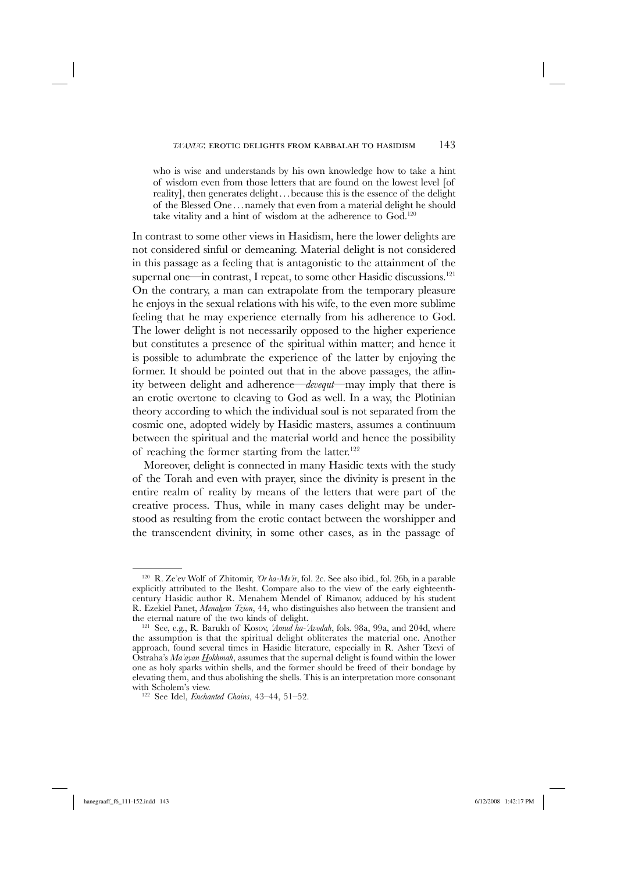who is wise and understands by his own knowledge how to take a hint of wisdom even from those letters that are found on the lowest level [of reality], then generates delight . . . because this is the essence of the delight of the Blessed One . . . namely that even from a material delight he should take vitality and a hint of wisdom at the adherence to God.120

In contrast to some other views in Hasidism, here the lower delights are not considered sinful or demeaning. Material delight is not considered in this passage as a feeling that is antagonistic to the attainment of the supernal one—in contrast, I repeat, to some other Hasidic discussions.<sup>121</sup> On the contrary, a man can extrapolate from the temporary pleasure he enjoys in the sexual relations with his wife, to the even more sublime feeling that he may experience eternally from his adherence to God. The lower delight is not necessarily opposed to the higher experience but constitutes a presence of the spiritual within matter; and hence it is possible to adumbrate the experience of the latter by enjoying the former. It should be pointed out that in the above passages, the affinity between delight and adherence—*devequt*—may imply that there is an erotic overtone to cleaving to God as well. In a way, the Plotinian theory according to which the individual soul is not separated from the cosmic one, adopted widely by Hasidic masters, assumes a continuum between the spiritual and the material world and hence the possibility of reaching the former starting from the latter. $122$ 

Moreover, delight is connected in many Hasidic texts with the study of the Torah and even with prayer, since the divinity is present in the entire realm of reality by means of the letters that were part of the creative process. Thus, while in many cases delight may be understood as resulting from the erotic contact between the worshipper and the transcendent divinity, in some other cases, as in the passage of

<sup>&</sup>lt;sup>120</sup> R. Ze'ev Wolf of Zhitomir, *'Or ha-Me'ir*, fol. 2c. See also ibid., fol. 26b, in a parable explicitly attributed to the Besht. Compare also to the view of the early eighteenthcentury Hasidic author R. Menahem Mendel of Rimanov, adduced by his student R. Ezekiel Panet, *Menahem Tzion*, 44, who distinguishes also between the transient and the eternal nature of the two kinds of delight.

<sup>121</sup> See, e.g., R. Barukh of Kosov, *{Amud ha-{Avodah*, fols. 98a, 99a, and 204d, where the assumption is that the spiritual delight obliterates the material one. Another approach, found several times in Hasidic literature, especially in R. Asher Tzevi of Ostraha's *Ma'ayan Hokhmah*, assumes that the supernal delight is found within the lower one as holy sparks within shells, and the former should be freed of their bondage by elevating them, and thus abolishing the shells. This is an interpretation more consonant with Scholem's view.

<sup>122</sup> See Idel, *Enchanted Chains*, 43–44, 51–52.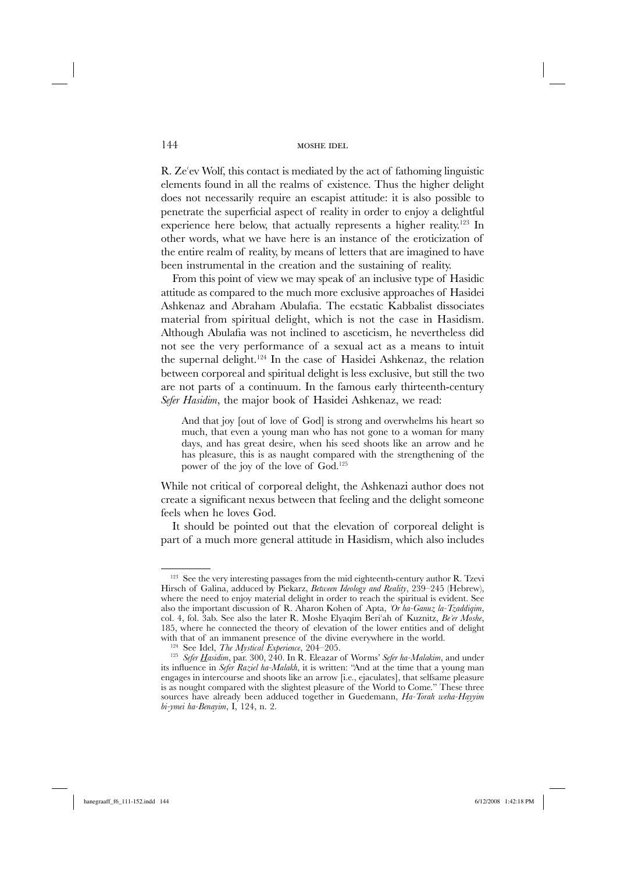# 144 moshe idea in the mosher in the mosher in the mosher in the mosher in the mosher in the mosher in the mosh

R. Ze'ev Wolf, this contact is mediated by the act of fathoming linguistic elements found in all the realms of existence. Thus the higher delight does not necessarily require an escapist attitude: it is also possible to penetrate the superficial aspect of reality in order to enjoy a delightful experience here below, that actually represents a higher reality.<sup>123</sup> In other words, what we have here is an instance of the eroticization of the entire realm of reality, by means of letters that are imagined to have been instrumental in the creation and the sustaining of reality.

From this point of view we may speak of an inclusive type of Hasidic attitude as compared to the much more exclusive approaches of Hasidei Ashkenaz and Abraham Abulafia. The ecstatic Kabbalist dissociates material from spiritual delight, which is not the case in Hasidism. Although Abulafia was not inclined to asceticism, he nevertheless did not see the very performance of a sexual act as a means to intuit the supernal delight.124 In the case of Hasidei Ashkenaz, the relation between corporeal and spiritual delight is less exclusive, but still the two are not parts of a continuum. In the famous early thirteenth-century *Sefer Hasidim*, the major book of Hasidei Ashkenaz, we read:

And that joy [out of love of God] is strong and overwhelms his heart so much, that even a young man who has not gone to a woman for many days, and has great desire, when his seed shoots like an arrow and he has pleasure, this is as naught compared with the strengthening of the power of the joy of the love of God.125

While not critical of corporeal delight, the Ashkenazi author does not create a significant nexus between that feeling and the delight someone feels when he loves God.

It should be pointed out that the elevation of corporeal delight is part of a much more general attitude in Hasidism, which also includes

<sup>&</sup>lt;sup>123</sup> See the very interesting passages from the mid eighteenth-century author R. Tzevi Hirsch of Galina, adduced by Piekarz, *Between Ideology and Reality*, 239–245 (Hebrew), where the need to enjoy material delight in order to reach the spiritual is evident. See also the important discussion of R. Aharon Kohen of Apta, *Or ha-Ganuz la-Tzaddiqim*, col. 4, fol. 3ab. See also the later R. Moshe Elyaqim Beri'ah of Kuznitz, *Be'er Moshe*, 185, where he connected the theory of elevation of the lower entities and of delight with that of an immanent presence of the divine everywhere in the world.

<sup>124</sup> See Idel, *The Mystical Experience*, 204–205.

<sup>&</sup>lt;sup>125</sup> *Sefer Hasidim*, par. 300, 240. In R. Eleazar of Worms' *Sefer ha-Malakim*, and under its influence in *Sefer Raziel ha-Malakh*, it is written: "And at the time that a young man engages in intercourse and shoots like an arrow [i.e., ejaculates], that selfsame pleasure is as nought compared with the slightest pleasure of the World to Come." These three sources have already been adduced together in Guedemann, *Ha-Torah weha-Hayyim bi-ymei ha-Benayim*, I, 124, n. 2.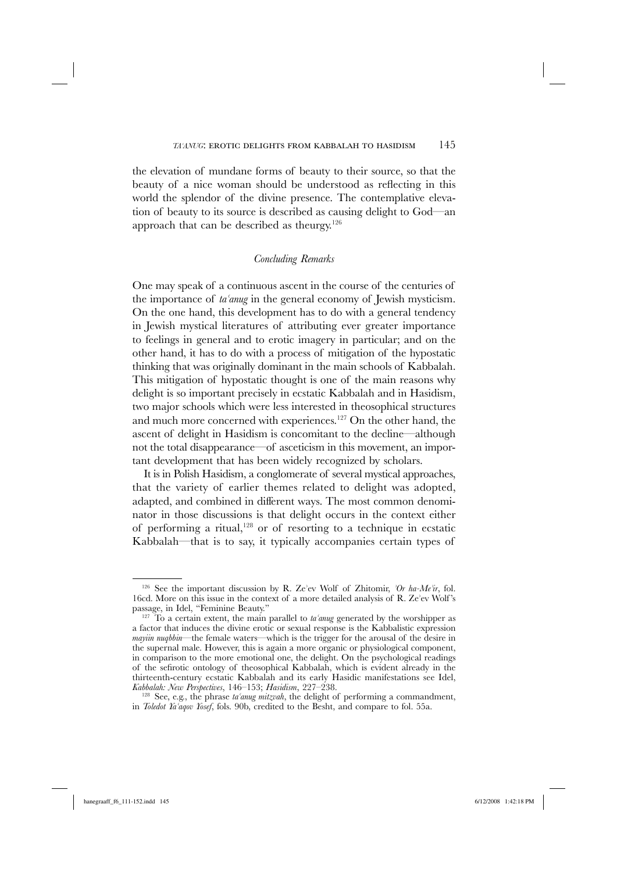the elevation of mundane forms of beauty to their source, so that the beauty of a nice woman should be understood as reflecting in this world the splendor of the divine presence. The contemplative elevation of beauty to its source is described as causing delight to God—an approach that can be described as theurgy.126

#### *Concluding Remarks*

One may speak of a continuous ascent in the course of the centuries of the importance of *ta{anug* in the general economy of Jewish mysticism. On the one hand, this development has to do with a general tendency in Jewish mystical literatures of attributing ever greater importance to feelings in general and to erotic imagery in particular; and on the other hand, it has to do with a process of mitigation of the hypostatic thinking that was originally dominant in the main schools of Kabbalah. This mitigation of hypostatic thought is one of the main reasons why delight is so important precisely in ecstatic Kabbalah and in Hasidism, two major schools which were less interested in theosophical structures and much more concerned with experiences.127 On the other hand, the ascent of delight in Hasidism is concomitant to the decline—although not the total disappearance—of asceticism in this movement, an important development that has been widely recognized by scholars.

It is in Polish Hasidism, a conglomerate of several mystical approaches, that the variety of earlier themes related to delight was adopted, adapted, and combined in different ways. The most common denominator in those discussions is that delight occurs in the context either of performing a ritual, $128$  or of resorting to a technique in ecstatic Kabbalah—that is to say, it typically accompanies certain types of

<sup>&</sup>lt;sup>126</sup> See the important discussion by R. Ze'ev Wolf of Zhitomir, 'Or ha-Me'ir, fol. 16cd. More on this issue in the context of a more detailed analysis of R. Ze'ev Wolf's passage, in Idel, "Feminine Beauty."

 $127$  To a certain extent, the main parallel to *ta'anug* generated by the worshipper as a factor that induces the divine erotic or sexual response is the Kabbalistic expression *mayiin nuqbbin*—the female waters—which is the trigger for the arousal of the desire in the supernal male. However, this is again a more organic or physiological component, in comparison to the more emotional one, the delight. On the psychological readings of the sefirotic ontology of theosophical Kabbalah, which is evident already in the thirteenth-century ecstatic Kabbalah and its early Hasidic manifestations see Idel, *Kabbalah: New Perspectives*, 146–153; *Hasidism*, 227–238.

<sup>128</sup> See, e.g., the phrase *ta{anug mitzvah*, the delight of performing a commandment, in *Toledot Ya{aqov Yosef*, fols. 90b, credited to the Besht, and compare to fol. 55a.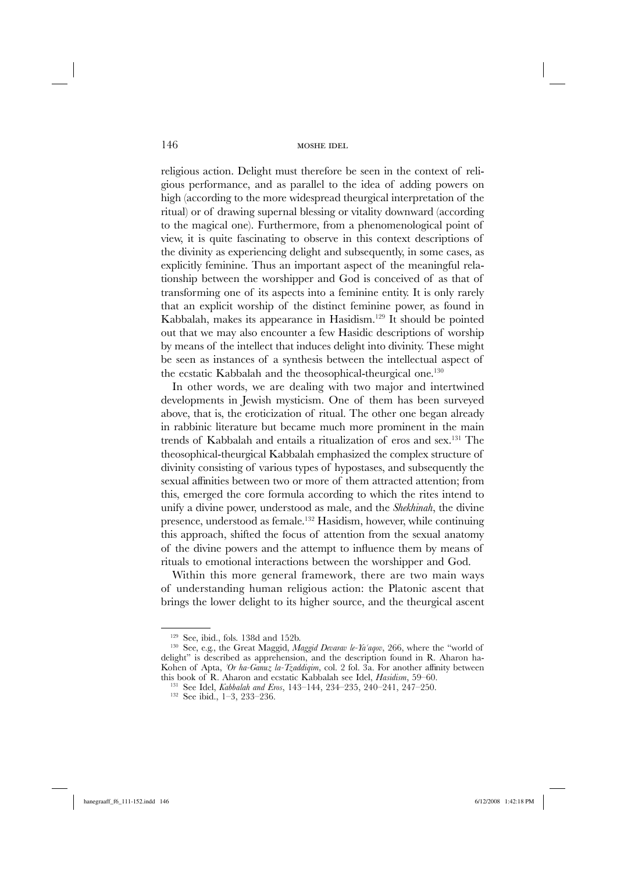# 146 moshe idea in the moshe in the moshe

religious action. Delight must therefore be seen in the context of religious performance, and as parallel to the idea of adding powers on high (according to the more widespread theurgical interpretation of the ritual) or of drawing supernal blessing or vitality downward (according to the magical one). Furthermore, from a phenomenological point of view, it is quite fascinating to observe in this context descriptions of the divinity as experiencing delight and subsequently, in some cases, as explicitly feminine. Thus an important aspect of the meaningful relationship between the worshipper and God is conceived of as that of transforming one of its aspects into a feminine entity. It is only rarely that an explicit worship of the distinct feminine power, as found in Kabbalah, makes its appearance in Hasidism.<sup>129</sup> It should be pointed out that we may also encounter a few Hasidic descriptions of worship by means of the intellect that induces delight into divinity. These might be seen as instances of a synthesis between the intellectual aspect of the ecstatic Kabbalah and the theosophical-theurgical one.130

In other words, we are dealing with two major and intertwined developments in Jewish mysticism. One of them has been surveyed above, that is, the eroticization of ritual. The other one began already in rabbinic literature but became much more prominent in the main trends of Kabbalah and entails a ritualization of eros and sex.131 The theosophical-theurgical Kabbalah emphasized the complex structure of divinity consisting of various types of hypostases, and subsequently the sexual affinities between two or more of them attracted attention; from this, emerged the core formula according to which the rites intend to unify a divine power, understood as male, and the *Shekhinah*, the divine presence, understood as female.132 Hasidism, however, while continuing this approach, shifted the focus of attention from the sexual anatomy of the divine powers and the attempt to influence them by means of rituals to emotional interactions between the worshipper and God.

Within this more general framework, there are two main ways of understanding human religious action: the Platonic ascent that brings the lower delight to its higher source, and the theurgical ascent

<sup>129</sup> See, ibid., fols. 138d and 152b.

<sup>130</sup> See, e.g., the Great Maggid, *Maggid Devarav le-Ya{aqov*, 266, where the "world of delight" is described as apprehension, and the description found in R. Aharon ha-Kohen of Apta, *'Or ha-Ganuz la-Tzaddiqim*, col. 2 fol. 3a. For another affinity between this book of R. Aharon and ecstatic Kabbalah see Idel, *Hasidism*, 59–60.

<sup>131</sup> See Idel, *Kabbalah and Eros*, 143–144, 234–235, 240–241, 247–250.

<sup>&</sup>lt;sup>132</sup> See ibid., 1-3, 233-236.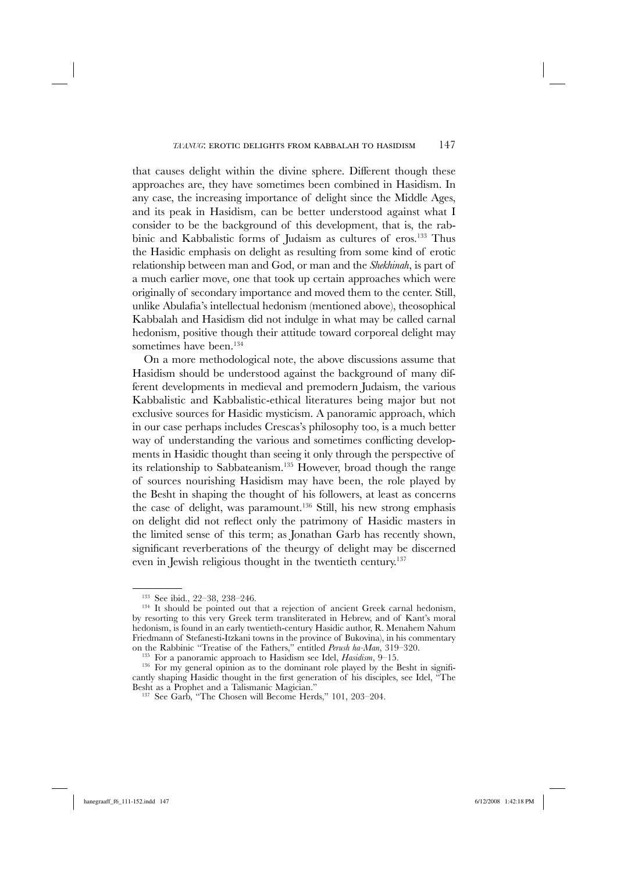that causes delight within the divine sphere. Different though these approaches are, they have sometimes been combined in Hasidism. In any case, the increasing importance of delight since the Middle Ages, and its peak in Hasidism, can be better understood against what I consider to be the background of this development, that is, the rabbinic and Kabbalistic forms of Judaism as cultures of eros.<sup>133</sup> Thus the Hasidic emphasis on delight as resulting from some kind of erotic relationship between man and God, or man and the *Shekhinah*, is part of a much earlier move, one that took up certain approaches which were originally of secondary importance and moved them to the center. Still, unlike Abulafia's intellectual hedonism (mentioned above), theosophical Kabbalah and Hasidism did not indulge in what may be called carnal hedonism, positive though their attitude toward corporeal delight may sometimes have been.<sup>134</sup>

On a more methodological note, the above discussions assume that Hasidism should be understood against the background of many different developments in medieval and premodern Judaism, the various Kabbalistic and Kabbalistic-ethical literatures being major but not exclusive sources for Hasidic mysticism. A panoramic approach, which in our case perhaps includes Crescas's philosophy too, is a much better way of understanding the various and sometimes conflicting developments in Hasidic thought than seeing it only through the perspective of its relationship to Sabbateanism.135 However, broad though the range of sources nourishing Hasidism may have been, the role played by the Besht in shaping the thought of his followers, at least as concerns the case of delight, was paramount.136 Still, his new strong emphasis on delight did not reflect only the patrimony of Hasidic masters in the limited sense of this term; as Jonathan Garb has recently shown, significant reverberations of the theurgy of delight may be discerned even in Jewish religious thought in the twentieth century.<sup>137</sup>

<sup>133</sup> See ibid., 22–38, 238–246.

<sup>&</sup>lt;sup>134</sup> It should be pointed out that a rejection of ancient Greek carnal hedonism, by resorting to this very Greek term transliterated in Hebrew, and of Kant's moral hedonism, is found in an early twentieth-century Hasidic author, R. Menahem Nahum Friedmann of Stefanesti-Itzkani towns in the province of Bukovina), in his commentary on the Rabbinic "Treatise of the Fathers," entitled *Perush ha-Man*, 319–320.

<sup>&</sup>lt;sup>135</sup> For a panoramic approach to Hasidism see Idel, *Hasidism*, 9-15.

 $136$  For my general opinion as to the dominant role played by the Besht in significantly shaping Hasidic thought in the first generation of his disciples, see Idel, "The Besht as a Prophet and a Talismanic Magician."

<sup>&</sup>lt;sup>137</sup> See Garb, "The Chosen will Become Herds," 101, 203-204.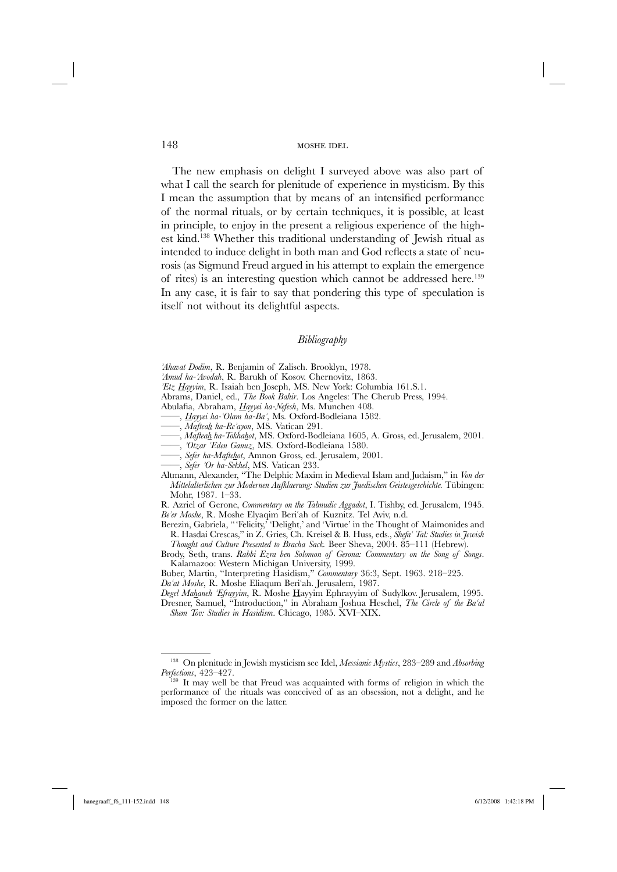148 moshe idea in the moshe in the moshe in the moshe

The new emphasis on delight I surveyed above was also part of what I call the search for plenitude of experience in mysticism. By this I mean the assumption that by means of an intensified performance of the normal rituals, or by certain techniques, it is possible, at least in principle, to enjoy in the present a religious experience of the highest kind.138 Whether this traditional understanding of Jewish ritual as intended to induce delight in both man and God reflects a state of neurosis (as Sigmund Freud argued in his attempt to explain the emergence of rites) is an interesting question which cannot be addressed here.139 In any case, it is fair to say that pondering this type of speculation is itself not without its delightful aspects.

#### *Bibliography*

*xAhavat Dodim*, R. Benjamin of Zalisch. Brooklyn, 1978.

*xAmud ha-xAvodah*, R. Barukh of Kosov. Chernovitz, 1863.

*xEtz Hayyim*, R. Isaiah ben Joseph, MS. New York: Columbia 161.S.1.

Abrams, Daniel, ed., *The Book Bahir*. Los Angeles: The Cherub Press, 1994.

Abulafia, Abraham, *Hayyei ha-Nefesh*, Ms. Munchen 408.

——, *Hayyei ha-{Olam ha-Bax*, Ms. Oxford-Bodleiana 1582.

——, *Mafteah ha-Rexayon*, MS. Vatican 291.

——, *Mafteah ha-Tokhahot*, MS. Oxford-Bodleiana 1605, A. Gross, ed. Jerusalem, 2001.

——, *xOtzar {Eden Ganuz*, MS. Oxford-Bodleiana 1580.

——, *Sefer ha-Maftehot*, Amnon Gross, ed. Jerusalem, 2001.

——, *Sefer xOr ha-Sekhel*, MS. Vatican 233.

Altmann, Alexander, "The Delphic Maxim in Medieval Islam and Judaism," in *Von der Mittelalterlichen zur Modernen Aufklaerung: Studien zur Juedischen Geistesgeschichte.* Tübingen: Mohr, 1987. 1–33.

R. Azriel of Gerone, *Commentary on the Talmudic Aggadot*, I. Tishby, ed. Jerusalem, 1945. *Bexer Moshe*, R. Moshe Elyaqim Beri{ah of Kuznitz. Tel Aviv, n.d.

Berezin, Gabriela, " 'Felicity,' 'Delight,' and 'Virtue' in the Thought of Maimonides and R. Hasdai Crescas," in Z. Gries, Ch. Kreisel & B. Huss, eds., *Shefa{ Tal: Studies in Jewish Thought and Culture Presented to Bracha Sack.* Beer Sheva, 2004. 85–111 (Hebrew).

Brody, Seth, trans. *Rabbi Ezra ben Solomon of Gerona: Commentary on the Song of Songs*. Kalamazoo: Western Michigan University, 1999.

Buber, Martin, "Interpreting Hasidism," *Commentary* 36:3, Sept. 1963. 218–225.

*Da{at Moshe*, R. Moshe Eliaqum Beri{ah. Jerusalem, 1987.

*Degel Mahaneh 'Efrayyim*, R. Moshe Hayyim Ephrayyim of Sudylkov. Jerusalem, 1995. Dresner, Samuel, "Introduction," in Abraham Joshua Heschel, *The Circle of the Ba'al* 

*Shem Tov: Studies in Hasidism*. Chicago, 1985. XVI–XIX.

<sup>138</sup> On plenitude in Jewish mysticism see Idel, *Messianic Mystics*, 283–289 and *Absorbing Perfections*, 423–427.

<sup>&</sup>lt;sup>139</sup> It may well be that Freud was acquainted with forms of religion in which the performance of the rituals was conceived of as an obsession, not a delight, and he imposed the former on the latter.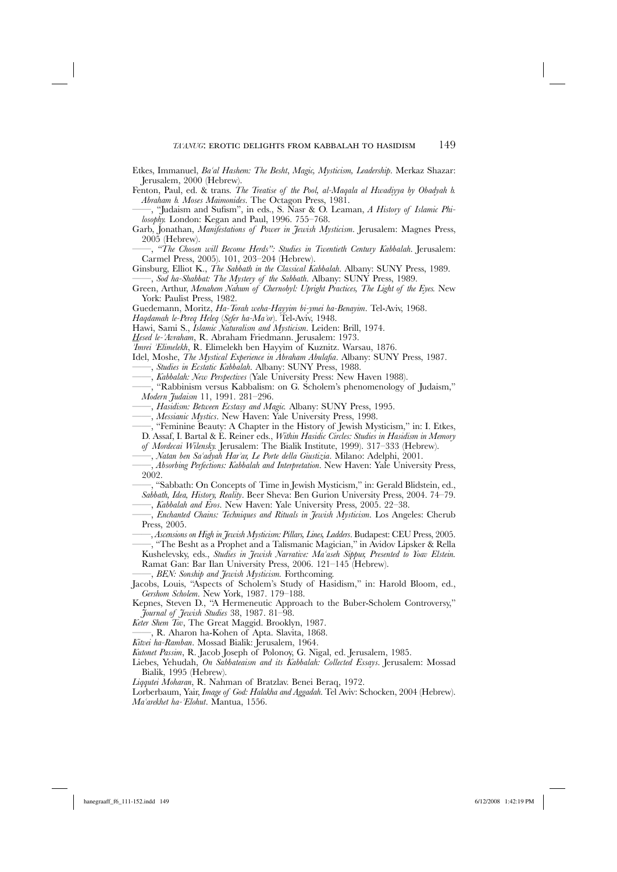Etkes, Immanuel, *Ba{al Hashem: The Besht*, *Magic, Mysticism, Leadership*. Merkaz Shazar: Jerusalem, 2000 (Hebrew).

Fenton, Paul, ed. & trans. *The Treatise of the Pool, al-Maqala al Hwadiyya by Obadyah b. Abraham b. Moses Maimonides*. The Octagon Press, 1981.

, "Judaism and Sufism", in eds., S. Nasr & O. Leaman, *A History of Islamic Philosophy.* London: Kegan and Paul, 1996. 755–768.

Garb, Jonathan, *Manifestations of Power in Jewish Mysticism*. Jerusalem: Magnes Press, 2005 (Hebrew).

——, *"The Chosen will Become Herds": Studies in Twentieth Century Kabbalah*. Jerusalem: Carmel Press, 2005). 101, 203–204 (Hebrew).

Ginsburg, Elliot K., *The Sabbath in the Classical Kabbalah*. Albany: SUNY Press, 1989. ——, *Sod ha-Shabbat: The Mystery of the Sabbath*. Albany: SUNY Press, 1989.

Green, Arthur, *Menahem Nahum of Chernobyl: Upright Practices, The Light of the Eyes.* New York: Paulist Press, 1982.

Guedemann, Moritz, *Ha-Torah weha-Hayyim bi-ymei ha-Benayim*. Tel-Aviv, 1968.

*Haqdamah le-Pereq Heleq* (*Sefer ha-Maxor*). Tel-Aviv, 1948.

Hawi, Sami S., *Islamic Naturalism and Mysticism*. Leiden: Brill, 1974.

*esed le-xAvraham*, R. Abraham Friedmann. Jerusalem: 1973.

*xImrei xElimelekh*, R. Elimelekh ben Hayyim of Kuznitz. Warsau, 1876.

Idel, Moshe, *The Mystical Experience in Abraham Abulafia*. Albany: SUNY Press, 1987. ——, *Studies in Ecstatic Kabbalah*. Albany: SUNY Press, 1988.

——, *Kabbalah: New Perspectives* (Yale University Press: New Haven 1988).

"Rabbinism versus Kabbalism: on G. Scholem's phenomenology of Judaism," *Modern Judaism* 11, 1991. 281–296.

——, *Hasidism: Between Ecstasy and Magic.* Albany: SUNY Press, 1995.

——, *Messianic Mystics*. New Haven: Yale University Press, 1998.

"Feminine Beauty: A Chapter in the History of Jewish Mysticism," in: I. Etkes, D. Assaf, I. Bartal & E. Reiner eds., *Within Hasidic Circles: Studies in Hasidism in Memory* 

*of Mordecai Wilensky.* Jerusalem: The Bialik Institute, 1999). 317–333 (Hebrew).

——, *Natan ben Sa{adyah Harxar, Le Porte della Giustizia*. Milano: Adelphi, 2001.

——, *Absorbing Perfections: Kabbalah and Interpretation*. New Haven: Yale University Press, 2002.

"Sabbath: On Concepts of Time in Jewish Mysticism," in: Gerald Blidstein, ed., *Sabbath, Idea, History, Reality*. Beer Sheva: Ben Gurion University Press, 2004. 74–79. ——, *Kabbalah and Eros*. New Haven: Yale University Press, 2005. 22–38.

——, *Enchanted Chains: Techniques and Rituals in Jewish Mysticism*. Los Angeles: Cherub Press, 2005.

——, *Ascensions on High in Jewish Mysticism: Pillars, Lines, Ladders*. Budapest: CEU Press, 2005. "The Besht as a Prophet and a Talismanic Magician," in Avidov Lipsker & Rella Kushelevsky, eds., *Studies in Jewish Narrative: Ma{aseh Sippur, Presented to Yoav Elstein.*

Ramat Gan: Bar Ilan University Press, 2006. 121–145 (Hebrew).

——, *BEN: Sonship and Jewish Mysticism.* Forthcoming.

Jacobs, Louis, "Aspects of Scholem's Study of Hasidism," in: Harold Bloom, ed., *Gershom Scholem*. New York, 1987. 179–188.

Kepnes, Steven D., "A Hermeneutic Approach to the Buber-Scholem Controversy," *Journal of Jewish Studies* 38, 1987. 81–98.

*Keter Shem Tov*, The Great Maggid. Brooklyn, 1987.

R. Aharon ha-Kohen of Apta. Slavita, 1868.

*Kitvei ha-Ramban*. Mossad Bialik: Jerusalem, 1964.

*Kutonet Passim*, R. Jacob Joseph of Polonoy, G. Nigal, ed. Jerusalem, 1985.

Liebes, Yehudah, *On Sabbateaism and its Kabbalah: Collected Essays*. Jerusalem: Mossad Bialik, 1995 (Hebrew).

*Liqqutei Moharan*, R. Nahman of Bratzlav. Benei Beraq, 1972.

Lorberbaum, Yair, *Image of God: Halakha and Aggadah*. Tel Aviv: Schocken, 2004 (Hebrew). *Ma{arekhet ha-xElohut*. Mantua, 1556.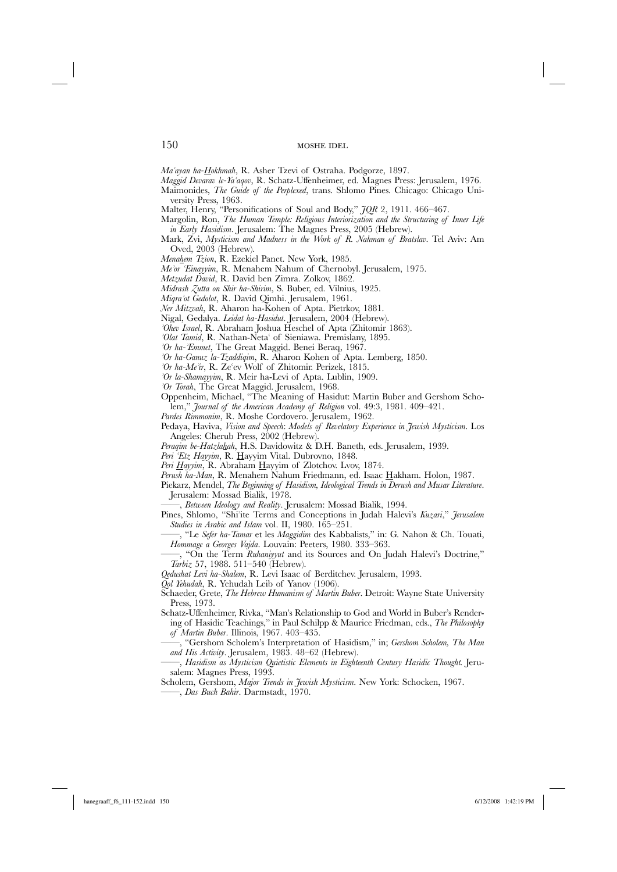*Ma{ayan ha-Hokhmah*, R. Asher Tzevi of Ostraha. Podgorze, 1897.

*Maggid Devarav le-Ya{aqov*, R. Schatz-Uffenheimer, ed. Magnes Press: Jerusalem, 1976. Maimonides, *The Guide of the Perplexed*, trans. Shlomo Pines. Chicago: Chicago University Press, 1963.

Malter, Henry, "Personifications of Soul and Body,"  $\tilde{\jmath}QR$  2, 1911. 466-467.

- Margolin, Ron, *The Human Temple: Religious Interiorization and the Structuring of Inner Life in Early Hasidism*. Jerusalem: The Magnes Press, 2005 (Hebrew).
- Mark, Zvi, *Mysticism and Madness in the Work of R. Nahman of Bratslav*. Tel Aviv: Am Oved, 2003 (Hebrew).

*Menahem Tzion*, R. Ezekiel Panet. New York, 1985.

- *Mexor {Einayyim*, R. Menahem Nahum of Chernobyl. Jerusalem, 1975.
- *Metzudat David*, R. David ben Zimra. Zolkov, 1862.
- *Midrash Zutta on Shir ha-Shirim*, S. Buber, ed. Vilnius, 1925.
- *Miqraxot Gedolot*, R. David Qimhi. Jerusalem, 1961.

*Ner Mitzvah*, R. Aharon ha-Kohen of Apta. Pietrkov, 1881.

Nigal, Gedalya. *Leidat ha-Hasidut*. Jerusalem, 2004 (Hebrew).

- *xOhev Israel*, R. Abraham Joshua Heschel of Apta (Zhitomir 1863).
- *xOlat Tamid*, R. Nathan-Neta{ of Sieniawa. Premislany, 1895.

*xOr ha-xEmmet*, The Great Maggid. Benei Beraq, 1967.

*xOr ha-Ganuz la-Tzaddiqim*, R. Aharon Kohen of Apta. Lemberg, 1850.

*xOr ha-Mexir*, R. Ze{ev Wolf of Zhitomir. Perizek, 1815.

*xOr la-Shamayyim*, R. Meir ha-Levi of Apta. Lublin, 1909.

*xOr Torah*, The Great Maggid. Jerusalem, 1968.

Oppenheim, Michael, "The Meaning of Hasidut: Martin Buber and Gershom Scholem," *Journal of the American Academy of Religion* vol. 49:3, 1981. 409–421.

*Pardes Rimmonim*, R. Moshe Cordovero. Jerusalem, 1962.

Pedaya, Haviva, *Vision and Speech*: *Models of Revelatory Experience in Jewish Mysticism*. Los Angeles: Cherub Press, 2002 (Hebrew).

*Peraqim be-Hatzlahah*, H.S. Davidowitz & D.H. Baneth, eds. Jerusalem, 1939.

*Peri {Etz Hayyim*, R. Hayyim Vital. Dubrovno, 1848.

Peri Hayyim, R. Abraham Hayyim of Zlotchov. Lvov, 1874.

*Perush ha-Man*, R. Menahem Nahum Friedmann, ed. Isaac Hakham. Holon, 1987.

- Piekarz, Mendel, *The Beginning of Hasidism, Ideological Trends in Derush and Musar Literature*.
	- Jerusalem: Mossad Bialik, 1978.

——, *Between Ideology and Reality*. Jerusalem: Mossad Bialik, 1994.

Pines, Shlomo, "Shi'ite Terms and Conceptions in Judah Halevi's *Kuzari*," *Jerusalem Studies in Arabic and Islam* vol. II, 1980. 165–251.

——, "Le *Sefer ha-Tamar* et les *Maggidim* des Kabbalists," in: G. Nahon & Ch. Touati, *Hommage a Georges Vajda*. Louvain: Peeters, 1980. 333–363.

——, "On the Term *Ruhaniyyut* and its Sources and On Judah Halevi's Doctrine," *Tarbiz* 57, 1988. 511–540 (Hebrew).

*Qedushat Levi ha-Shalem*, R. Levi Isaac of Berditchev. Jerusalem, 1993.

*Qol Yehudah*, R. Yehudah Leib of Yanov (1906).

Schaeder, Grete, *The Hebrew Humanism of Martin Buber*. Detroit: Wayne State University Press, 1973.

Schatz-Uffenheimer, Rivka, "Man's Relationship to God and World in Buber's Rendering of Hasidic Teachings," in Paul Schilpp & Maurice Friedman, eds., *The Philosophy of Martin Buber*. Illinois, 1967. 403–435.

——, "Gershom Scholem's Interpretation of Hasidism," in; *Gershom Scholem, The Man and His Activity*. Jerusalem, 1983. 48–62 (Hebrew).

——, *Hasidism as Mysticism Quietistic Elements in Eighteenth Century Hasidic Thought.* Jerusalem: Magnes Press, 1993.

Scholem, Gershom, *Major Trends in Jewish Mysticism*. New York: Schocken, 1967. ——, *Das Buch Bahir*. Darmstadt, 1970.